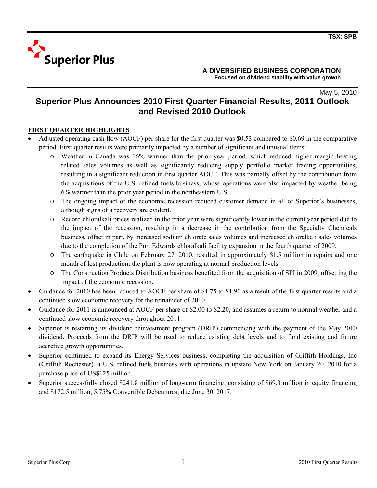

 **Focused on dividend stability with value growth** 

May 5, 2010

# **Superior Plus Announces 2010 First Quarter Financial Results, 2011 Outlook and Revised 2010 Outlook**

### **FIRST QUARTER HIGHLIGHTS**

- Adjusted operating cash flow (AOCF) per share for the first quarter was \$0.53 compared to \$0.69 in the comparative period. First quarter results were primarily impacted by a number of significant and unusual items:
	- o Weather in Canada was 16% warmer than the prior year period, which reduced higher margin heating related sales volumes as well as significantly reducing supply portfolio market trading opportunities, resulting in a significant reduction in first quarter AOCF. This was partially offset by the contribution from the acquisitions of the U.S. refined fuels business, whose operations were also impacted by weather being 6% warmer than the prior year period in the northeastern U.S.
	- o The ongoing impact of the economic recession reduced customer demand in all of Superior's businesses, although signs of a recovery are evident.
	- o Record chloralkali prices realized in the prior year were significantly lower in the current year period due to the impact of the recession, resulting in a decrease in the contribution from the Specialty Chemicals business, offset in part, by increased sodium chlorate sales volumes and increased chloralkali sales volumes due to the completion of the Port Edwards chloralkali facility expansion in the fourth quarter of 2009.
	- o The earthquake in Chile on February 27, 2010, resulted in approximately \$1.5 million in repairs and one month of lost production; the plant is now operating at normal production levels.
	- o The Construction Products Distribution business benefited from the acquisition of SPI in 2009, offsetting the impact of the economic recession.
- Guidance for 2010 has been reduced to AOCF per share of \$1.75 to \$1.90 as a result of the first quarter results and a continued slow economic recovery for the remainder of 2010.
- Guidance for 2011 is announced at AOCF per share of \$2.00 to \$2.20, and assumes a return to normal weather and a continued slow economic recovery throughout 2011.
- Superior is restarting its dividend reinvestment program (DRIP) commencing with the payment of the May 2010 dividend. Proceeds from the DRIP will be used to reduce existing debt levels and to fund existing and future accretive growth opportunities.
- Superior continued to expand its Energy Services business; completing the acquisition of Griffith Holdings, Inc (Griffith Rochester), a U.S. refined fuels business with operations in upstate New York on January 20, 2010 for a purchase price of US\$125 million.
- Superior successfully closed \$241.8 million of long-term financing, consisting of \$69.3 million in equity financing and \$172.5 million, 5.75% Convertible Debentures, due June 30, 2017.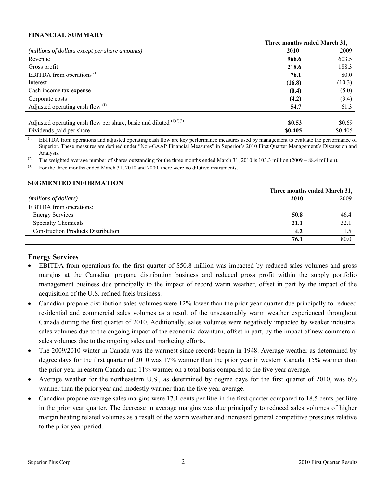### **FINANCIAL SUMMARY**

|                                                | Three months ended March 31, |        |
|------------------------------------------------|------------------------------|--------|
| (millions of dollars except per share amounts) | 2010                         | 2009   |
| Revenue                                        | 966.6                        | 603.5  |
| Gross profit                                   | 218.6                        | 188.3  |
| EBITDA from operations $(1)$                   | 76.1                         | 80.0   |
| Interest                                       | (16.8)                       | (10.3) |
| Cash income tax expense                        | (0.4)                        | (5.0)  |
| Corporate costs                                | (4.2)                        | (3.4)  |
| Adjusted operating cash flow $(1)$             | 54.7                         | 61.3   |
|                                                |                              |        |

| (1)(2)(3)<br>$\cdots$<br>basic and diluted<br>share<br>Adjusted<br>operating cash<br>flow per | ጠቢ ሥጣ<br>50.S. | \$0.69  |
|-----------------------------------------------------------------------------------------------|----------------|---------|
| $\mathbf{r}$<br>Dividends<br>share<br>paid per                                                | \$0.405        | \$0.405 |
| 2.411                                                                                         |                |         |

(1) EBITDA from operations and adjusted operating cash flow are key performance measures used by management to evaluate the performance of Superior. These measures are defined under "Non-GAAP Financial Measures" in Superior's 2010 First Quarter Management's Discussion and Analysis.

(2) The weighted average number of shares outstanding for the three months ended March 31, 2010 is 103.3 million (2009 – 88.4 million).

 $^{(3)}$  For the three months ended March 31, 2010 and 2009, there were no dilutive instruments.

### **SEGMENTED INFORMATION**

|                                           | Three months ended March 31, |      |  |
|-------------------------------------------|------------------------------|------|--|
| (millions of dollars)                     | 2009<br>2010                 |      |  |
| <b>EBITDA</b> from operations:            |                              |      |  |
| <b>Energy Services</b>                    | 50.8                         | 46.4 |  |
| <b>Specialty Chemicals</b>                | 21.1                         | 32.1 |  |
| <b>Construction Products Distribution</b> | 4.2                          |      |  |
|                                           | 76.1                         | 80.0 |  |

### **Energy Services**

- EBITDA from operations for the first quarter of \$50.8 million was impacted by reduced sales volumes and gross margins at the Canadian propane distribution business and reduced gross profit within the supply portfolio management business due principally to the impact of record warm weather, offset in part by the impact of the acquisition of the U.S. refined fuels business.
- Canadian propane distribution sales volumes were 12% lower than the prior year quarter due principally to reduced residential and commercial sales volumes as a result of the unseasonably warm weather experienced throughout Canada during the first quarter of 2010. Additionally, sales volumes were negatively impacted by weaker industrial sales volumes due to the ongoing impact of the economic downturn, offset in part, by the impact of new commercial sales volumes due to the ongoing sales and marketing efforts.
- The 2009/2010 winter in Canada was the warmest since records began in 1948. Average weather as determined by degree days for the first quarter of 2010 was 17% warmer than the prior year in western Canada, 15% warmer than the prior year in eastern Canada and 11% warmer on a total basis compared to the five year average.
- Average weather for the northeastern U.S., as determined by degree days for the first quarter of 2010, was 6% warmer than the prior year and modestly warmer than the five year average.
- Canadian propane average sales margins were 17.1 cents per litre in the first quarter compared to 18.5 cents per litre in the prior year quarter. The decrease in average margins was due principally to reduced sales volumes of higher margin heating related volumes as a result of the warm weather and increased general competitive pressures relative to the prior year period.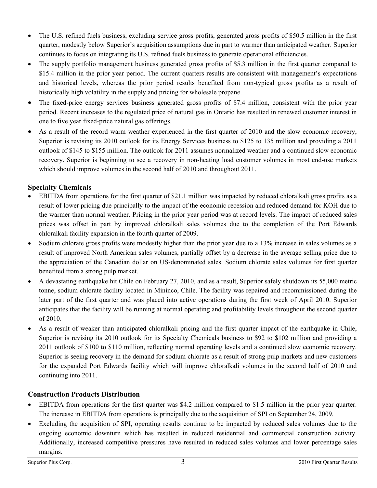- The U.S. refined fuels business, excluding service gross profits, generated gross profits of \$50.5 million in the first quarter, modestly below Superior's acquisition assumptions due in part to warmer than anticipated weather. Superior continues to focus on integrating its U.S. refined fuels business to generate operational efficiencies.
- The supply portfolio management business generated gross profits of \$5.3 million in the first quarter compared to \$15.4 million in the prior year period. The current quarters results are consistent with management's expectations and historical levels, whereas the prior period results benefited from non-typical gross profits as a result of historically high volatility in the supply and pricing for wholesale propane.
- The fixed-price energy services business generated gross profits of \$7.4 million, consistent with the prior year period. Recent increases to the regulated price of natural gas in Ontario has resulted in renewed customer interest in one to five year fixed-price natural gas offerings.
- As a result of the record warm weather experienced in the first quarter of 2010 and the slow economic recovery, Superior is revising its 2010 outlook for its Energy Services business to \$125 to 135 million and providing a 2011 outlook of \$145 to \$155 million. The outlook for 2011 assumes normalized weather and a continued slow economic recovery. Superior is beginning to see a recovery in non-heating load customer volumes in most end-use markets which should improve volumes in the second half of 2010 and throughout 2011.

# **Specialty Chemicals**

- EBITDA from operations for the first quarter of \$21.1 million was impacted by reduced chloralkali gross profits as a result of lower pricing due principally to the impact of the economic recession and reduced demand for KOH due to the warmer than normal weather. Pricing in the prior year period was at record levels. The impact of reduced sales prices was offset in part by improved chloralkali sales volumes due to the completion of the Port Edwards chloralkali facility expansion in the fourth quarter of 2009.
- Sodium chlorate gross profits were modestly higher than the prior year due to a 13% increase in sales volumes as a result of improved North American sales volumes, partially offset by a decrease in the average selling price due to the appreciation of the Canadian dollar on US-denominated sales. Sodium chlorate sales volumes for first quarter benefited from a strong pulp market.
- A devastating earthquake hit Chile on February 27, 2010, and as a result, Superior safely shutdown its 55,000 metric tonne, sodium chlorate facility located in Mininco, Chile. The facility was repaired and recommissioned during the later part of the first quarter and was placed into active operations during the first week of April 2010. Superior anticipates that the facility will be running at normal operating and profitability levels throughout the second quarter of 2010.
- As a result of weaker than anticipated chloralkali pricing and the first quarter impact of the earthquake in Chile, Superior is revising its 2010 outlook for its Specialty Chemicals business to \$92 to \$102 million and providing a 2011 outlook of \$100 to \$110 million, reflecting normal operating levels and a continued slow economic recovery. Superior is seeing recovery in the demand for sodium chlorate as a result of strong pulp markets and new customers for the expanded Port Edwards facility which will improve chloralkali volumes in the second half of 2010 and continuing into 2011.

# **Construction Products Distribution**

- EBITDA from operations for the first quarter was \$4.2 million compared to \$1.5 million in the prior year quarter. The increase in EBITDA from operations is principally due to the acquisition of SPI on September 24, 2009.
- Excluding the acquisition of SPI, operating results continue to be impacted by reduced sales volumes due to the ongoing economic downturn which has resulted in reduced residential and commercial construction activity. Additionally, increased competitive pressures have resulted in reduced sales volumes and lower percentage sales margins.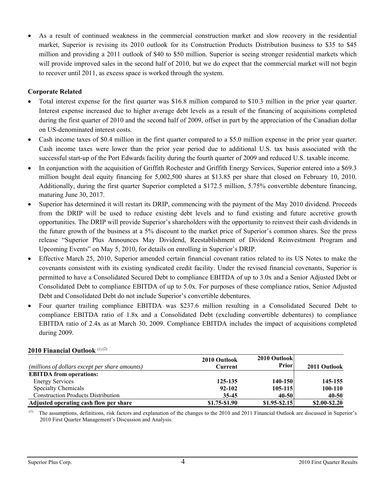• As a result of continued weakness in the commercial construction market and slow recovery in the residential market, Superior is revising its 2010 outlook for its Construction Products Distribution business to \$35 to \$45 million and providing a 2011 outlook of \$40 to \$50 million. Superior is seeing stronger residential markets which will provide improved sales in the second half of 2010, but we do expect that the commercial market will not begin to recover until 2011, as excess space is worked through the system.

### **Corporate Related**

- Total interest expense for the first quarter was \$16.8 million compared to \$10.3 million in the prior year quarter. Interest expense increased due to higher average debt levels as a result of the financing of acquisitions completed during the first quarter of 2010 and the second half of 2009, offset in part by the appreciation of the Canadian dollar on US-denominated interest costs.
- Cash income taxes of \$0.4 million in the first quarter compared to a \$5.0 million expense in the prior year quarter. Cash income taxes were lower than the prior year period due to additional U.S. tax basis associated with the successful start-up of the Port Edwards facility during the fourth quarter of 2009 and reduced U.S. taxable income.
- In conjunction with the acquisition of Griffith Rochester and Griffith Energy Services, Superior entered into a \$69.3 million bought deal equity financing for 5,002,500 shares at \$13.85 per share that closed on February 10, 2010. Additionally, during the first quarter Superior completed a \$172.5 million, 5.75% convertible debenture financing, maturing June 30, 2017.
- Superior has determined it will restart its DRIP, commencing with the payment of the May 2010 dividend. Proceeds from the DRIP will be used to reduce existing debt levels and to fund existing and future accretive growth opportunities. The DRIP will provide Superior's shareholders with the opportunity to reinvest their cash dividends in the future growth of the business at a 5% discount to the market price of Superior's common shares. See the press release "Superior Plus Announces May Dividend, Reestablishment of Dividend Reinvestment Program and Upcoming Events" on May 5, 2010, for details on enrolling in Superior's DRIP.
- Effective March 25, 2010, Superior amended certain financial covenant ratios related to its US Notes to make the covenants consistent with its existing syndicated credit facility. Under the revised financial covenants, Superior is permitted to have a Consolidated Secured Debt to compliance EBITDA of up to 3.0x and a Senior Adjusted Debt or Consolidated Debt to compliance EBITDA of up to 5.0x. For purposes of these compliance ratios, Senior Adjusted Debt and Consolidated Debt do not include Superior's convertible debentures.
- Four quarter trailing compliance EBITDA was \$237.6 million resulting in a Consolidated Secured Debt to compliance EBITDA ratio of 1.8x and a Consolidated Debt (excluding convertible debentures) to compliance EBITDA ratio of 2.4x as at March 30, 2009. Compliance EBITDA includes the impact of acquisitions completed during 2009.

| (millions of dollars except per share amounts) | 2010 Outlook<br>Current | 2010 Outlook<br><b>Prior</b> | 2011 Outlook  |
|------------------------------------------------|-------------------------|------------------------------|---------------|
| <b>EBITDA</b> from operations:                 |                         |                              |               |
| <b>Energy Services</b>                         | 125-135                 | 140-150                      | 145-155       |
| <b>Specialty Chemicals</b>                     | $92 - 102$              | $105 - 115$                  | 100-110       |
| <b>Construction Products Distribution</b>      | $35 - 45$               | $40 - 50$                    | 40-50         |
| Adjusted operating cash flow per share         | $$1.75-S1.90$           | $$1.95-S2.15$                | $$2.00-S2.20$ |

### **2010 Financial Outlook** (1) (2)

 $^{(1)}$  The assumptions, definitions, risk factors and explanation of the changes to the 2010 and 2011 Financial Outlook are discussed in Superior's 2010 First Quarter Management's Discussion and Analysis.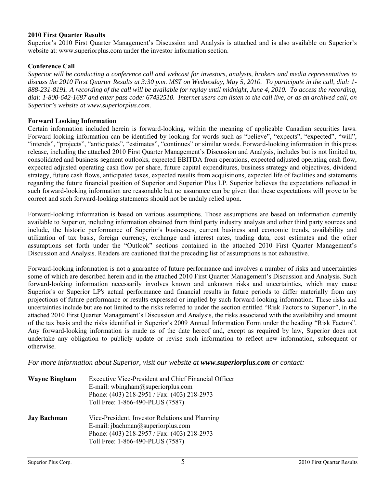#### **2010 First Quarter Results**

Superior's 2010 First Quarter Management's Discussion and Analysis is attached and is also available on Superior's website at: www.superiorplus.com under the investor information section.

### **Conference Call**

*Superior will be conducting a conference call and webcast for investors, analysts, brokers and media representatives to discuss the 2010 First Quarter Results at 3:30 p.m. MST on Wednesday, May 5, 2010. To participate in the call, dial: 1- 888-231-8191. A recording of the call will be available for replay until midnight, June 4, 2010. To access the recording, dial: 1-800-642-1687 and enter pass code: 67432510. Internet users can listen to the call live, or as an archived call, on Superior's website at www.superiorplus.com.* 

#### **Forward Looking Information**

Certain information included herein is forward-looking, within the meaning of applicable Canadian securities laws. Forward looking information can be identified by looking for words such as "believe", "expects", "expected", "will", "intends", "projects", "anticipates", "estimates", "continues" or similar words. Forward-looking information in this press release, including the attached 2010 First Quarter Management's Discussion and Analysis, includes but is not limited to, consolidated and business segment outlooks, expected EBITDA from operations, expected adjusted operating cash flow, expected adjusted operating cash flow per share, future capital expenditures, business strategy and objectives, dividend strategy, future cash flows, anticipated taxes, expected results from acquisitions, expected life of facilities and statements regarding the future financial position of Superior and Superior Plus LP. Superior believes the expectations reflected in such forward-looking information are reasonable but no assurance can be given that these expectations will prove to be correct and such forward-looking statements should not be unduly relied upon.

Forward-looking information is based on various assumptions. Those assumptions are based on information currently available to Superior, including information obtained from third party industry analysts and other third party sources and include, the historic performance of Superior's businesses, current business and economic trends, availability and utilization of tax basis, foreign currency, exchange and interest rates, trading data, cost estimates and the other assumptions set forth under the "Outlook" sections contained in the attached 2010 First Quarter Management's Discussion and Analysis. Readers are cautioned that the preceding list of assumptions is not exhaustive.

Forward-looking information is not a guarantee of future performance and involves a number of risks and uncertainties some of which are described herein and in the attached 2010 First Quarter Management's Discussion and Analysis. Such forward-looking information necessarily involves known and unknown risks and uncertainties, which may cause Superior's or Superior LP's actual performance and financial results in future periods to differ materially from any projections of future performance or results expressed or implied by such forward-looking information. These risks and uncertainties include but are not limited to the risks referred to under the section entitled "Risk Factors to Superior*"*, in the attached 2010 First Quarter Management's Discussion and Analysis, the risks associated with the availability and amount of the tax basis and the risks identified in Superior's 2009 Annual Information Form under the heading "Risk Factors". Any forward-looking information is made as of the date hereof and, except as required by law, Superior does not undertake any obligation to publicly update or revise such information to reflect new information, subsequent or otherwise.

*For more information about Superior, visit our website at www.superiorplus.com or contact:* 

| <b>Wayne Bingham</b> | <b>Executive Vice-President and Chief Financial Officer</b><br>E-mail: whingham@superiorplus.com<br>Phone: (403) 218-2951 / Fax: (403) 218-2973<br>Toll Free: 1-866-490-PLUS (7587) |
|----------------------|-------------------------------------------------------------------------------------------------------------------------------------------------------------------------------------|
| <b>Jay Bachman</b>   | Vice-President, Investor Relations and Planning<br>E-mail: jbachman@superiorplus.com<br>Phone: (403) 218-2957 / Fax: (403) 218-2973<br>Toll Free: 1-866-490-PLUS (7587)             |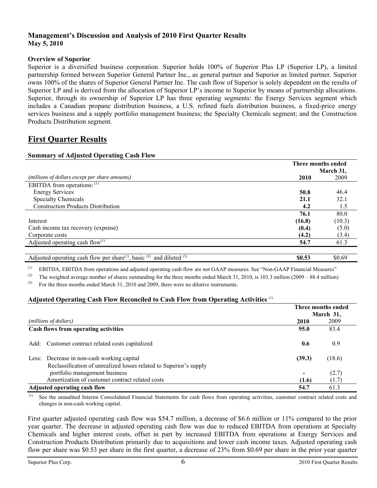### **Management's Discussion and Analysis of 2010 First Quarter Results May 5, 2010**

#### **Overview of Superior**

Superior is a diversified business corporation. Superior holds 100% of Superior Plus LP (Superior LP), a limited partnership formed between Superior General Partner Inc., as general partner and Superior as limited partner. Superior owns 100% of the shares of Superior General Partner Inc. The cash flow of Superior is solely dependent on the results of Superior LP and is derived from the allocation of Superior LP's income to Superior by means of partnership allocations. Superior, through its ownership of Superior LP has three operating segments: the Energy Services segment which includes a Canadian propane distribution business, a U.S. refined fuels distribution business, a fixed-price energy services business and a supply portfolio management business; the Specialty Chemicals segment; and the Construction Products Distribution segment.

# **First Quarter Results**

#### **Summary of Adjusted Operating Cash Flow**

|                                                                                                         | Three months ended |           |  |
|---------------------------------------------------------------------------------------------------------|--------------------|-----------|--|
|                                                                                                         |                    | March 31, |  |
| (millions of dollars except per share amounts)                                                          | 2010               | 2009      |  |
| EBITDA from operations: $(1)$                                                                           |                    |           |  |
| <b>Energy Services</b>                                                                                  | 50.8               | 46.4      |  |
| <b>Specialty Chemicals</b>                                                                              | 21.1               | 32.1      |  |
| <b>Construction Products Distribution</b>                                                               | 4.2                | 1.5       |  |
|                                                                                                         | 76.1               | 80.0      |  |
| Interest                                                                                                | (16.8)             | (10.3)    |  |
| Cash income tax recovery (expense)                                                                      | (0.4)              | (5.0)     |  |
| Corporate costs                                                                                         | (4.2)              | (3.4)     |  |
| Adjusted operating cash flow $^{(1)}$                                                                   | 54.7               | 61.3      |  |
|                                                                                                         |                    |           |  |
| Adjusted operating cash flow per share <sup>(1)</sup> , basic <sup>(2)</sup> and diluted <sup>(3)</sup> | \$0.53             | \$0.69    |  |

(1) EBITDA, EBITDA from operations and adjusted operating cash flow are not GAAP measures. See "Non-GAAP Financial Measures"

<sup>(2)</sup> The weighted average number of shares outstanding for the three months ended March 31, 2010, is 103.3 million (2009 – 88.4 million)

 $^{(3)}$  For the three months ended March 31, 2010 and 2009, there were no dilutive instruments.

#### **Adjusted Operating Cash Flow Reconciled to Cash Flow from Operating Activities** (1)

|                                |                                                                    | Three months ended<br>March 31, |        |
|--------------------------------|--------------------------------------------------------------------|---------------------------------|--------|
| ( <i>millions of dollars</i> ) |                                                                    | 2010                            | 2009   |
|                                | Cash flows from operating activities                               | 95.0                            | 83.4   |
|                                | Add: Customer contract related costs capitalized                   | 0.6                             | 0.9    |
|                                | Less: Decrease in non-cash working capital                         | (39.3)                          | (18.6) |
|                                | Reclassification of unrealized losses related to Superior's supply |                                 |        |
|                                | portfolio management business                                      | $\overline{\phantom{a}}$        | (2.7)  |
|                                | Amortization of customer contract related costs                    | (1.6)                           | (1.7)  |
|                                | <b>Adjusted operating cash flow</b>                                | 54.7                            | 61.3   |

 (1) See the unaudited Interim Consolidated Financial Statements for cash flows from operating activities, customer contract related costs and changes in non-cash working capital.

First quarter adjusted operating cash flow was \$54.7 million, a decrease of \$6.6 million or 11% compared to the prior year quarter. The decrease in adjusted operating cash flow was due to reduced EBITDA from operations at Specialty Chemicals and higher interest costs, offset in part by increased EBITDA from operations at Energy Services and Construction Products Distribution primarily due to acquisitions and lower cash income taxes. Adjusted operating cash flow per share was \$0.53 per share in the first quarter, a decrease of 23% from \$0.69 per share in the prior year quarter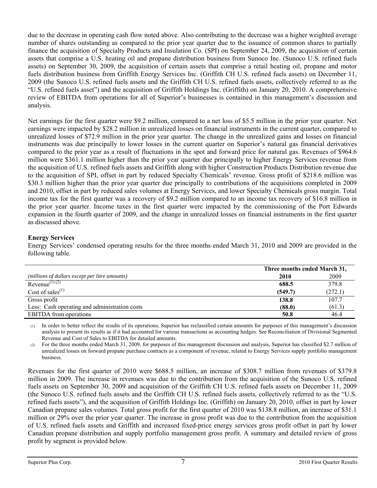due to the decrease in operating cash flow noted above. Also contributing to the decrease was a higher weighted average number of shares outstanding as compared to the prior year quarter due to the issuance of common shares to partially finance the acquisition of Specialty Products and Insulation Co. (SPI) on September 24, 2009, the acquisition of certain assets that comprise a U.S. heating oil and propane distribution business from Sunoco Inc. (Sunoco U.S. refined fuels assets) on September 30, 2009, the acquisition of certain assets that comprise a retail heating oil, propane and motor fuels distribution business from Griffith Energy Services Inc. (Griffith CH U.S. refined fuels assets) on December 11, 2009 (the Sunoco U.S. refined fuels assets and the Griffith CH U.S. refined fuels assets, collectively referred to as the "U.S. refined fuels asset") and the acquisition of Griffith Holdings Inc. (Griffith) on January 20, 2010. A comprehensive review of EBITDA from operations for all of Superior's businesses is contained in this management's discussion and analysis.

Net earnings for the first quarter were \$9.2 million, compared to a net loss of \$5.5 million in the prior year quarter. Net earnings were impacted by \$28.2 million in unrealized losses on financial instruments in the current quarter, compared to unrealized losses of \$72.9 million in the prior year quarter. The change in the unrealized gains and losses on financial instruments was due principally to lower losses in the current quarter on Superior's natural gas financial derivatives compared to the prior year as a result of fluctuations in the spot and forward price for natural gas. Revenues of \$964.6 million were \$361.1 million higher than the prior year quarter due principally to higher Energy Services revenue from the acquisition of U.S. refined fuels assets and Griffith along with higher Construction Products Distribution revenue due to the acquisition of SPI, offset in part by reduced Specialty Chemicals' revenue. Gross profit of \$218.6 million was \$30.3 million higher than the prior year quarter due principally to contributions of the acquisitions completed in 2009 and 2010, offset in part by reduced sales volumes at Energy Services, and lower Specialty Chemicals gross margin. Total income tax for the first quarter was a recovery of \$9.2 million compared to an income tax recovery of \$16.8 million in the prior year quarter. Income taxes in the first quarter were impacted by the commissioning of the Port Edwards expansion in the fourth quarter of 2009, and the change in unrealized losses on financial instruments in the first quarter as discussed above.

### **Energy Services**

Energy Services' condensed operating results for the three months ended March 31, 2010 and 2009 are provided in the following table.

|                                                | Three months ended March 31, |         |  |
|------------------------------------------------|------------------------------|---------|--|
| (millions of dollars except per litre amounts) | <b>2010</b>                  | 2009    |  |
| Revenue <sup>(1)(2)</sup>                      | 688.5                        | 379.8   |  |
| Cost of sales <sup><math>(1)</math></sup>      | (549.7)                      | (272.1) |  |
| Gross profit                                   | 138.8                        | 107.7   |  |
| Less: Cash operating and administration costs  | (88.0)                       | (61.3)  |  |
| <b>EBITDA</b> from operations                  | 50.8                         | 46.4    |  |

(1) In order to better reflect the results of its operations, Superior has reclassified certain amounts for purposes of this management's discussion analysis to present its results as if it had accounted for various transactions as accounting hedges. See Reconciliation of Divisional Segmented Revenue and Cost of Sales to EBITDA for detailed amounts.

(2) For the three months ended March 31, 2009, for purposes of this management discussion and analysis, Superior has classified \$2.7 million of unrealized losses on forward propane purchase contracts as a component of revenue, related to Energy Services supply portfolio management business.

Revenues for the first quarter of 2010 were \$688.5 million, an increase of \$308.7 million from revenues of \$379.8 million in 2009. The increase in revenues was due to the contribution from the acquisition of the Sunoco U.S. refined fuels assets on September 30, 2009 and acquisition of the Griffith CH U.S. refined fuels assets on December 11, 2009 (the Sunoco U.S. refined fuels assets and the Griffith CH U.S. refined fuels assets, collectively referred to as the "U.S. refined fuels assets"), and the acquisition of Griffith Holdings Inc. (Griffith) on January 20, 2010, offset in part by lower Canadian propane sales volumes. Total gross profit for the first quarter of 2010 was \$138.8 million, an increase of \$31.1 million or 29% over the prior year quarter. The increase in gross profit was due to the contribution from the acquisition of U.S. refined fuels assets and Griffith and increased fixed-price energy services gross profit offset in part by lower Canadian propane distribution and supply portfolio management gross profit. A summary and detailed review of gross profit by segment is provided below.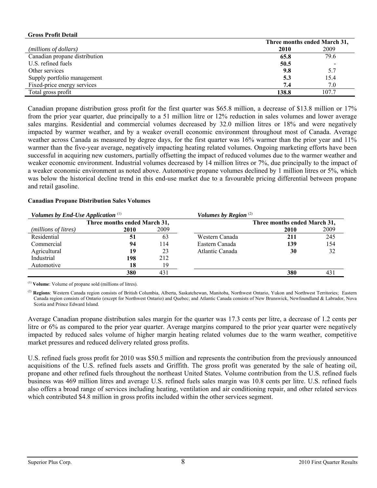| <b>Gross Profit Detail</b>    |                              |       |  |
|-------------------------------|------------------------------|-------|--|
|                               | Three months ended March 31, |       |  |
| (millions of dollars)         | 2010                         | 2009  |  |
| Canadian propane distribution | 65.8                         | 79.6  |  |
| U.S. refined fuels            | 50.5                         |       |  |
| Other services                | 9.8                          | 5.7   |  |
| Supply portfolio management   | 5.3                          | 15.4  |  |
| Fixed-price energy services   | 7.4                          | 7.0   |  |
| Total gross profit            | 138.8                        | 107.7 |  |

Canadian propane distribution gross profit for the first quarter was \$65.8 million, a decrease of \$13.8 million or 17% from the prior year quarter, due principally to a 51 million litre or 12% reduction in sales volumes and lower average sales margins. Residential and commercial volumes decreased by 32.0 million litres or 18% and were negatively impacted by warmer weather, and by a weaker overall economic environment throughout most of Canada. Average weather across Canada as measured by degree days, for the first quarter was 16% warmer than the prior year and 11% warmer than the five-year average, negatively impacting heating related volumes. Ongoing marketing efforts have been successful in acquiring new customers, partially offsetting the impact of reduced volumes due to the warmer weather and weaker economic environment. Industrial volumes decreased by 14 million litres or 7%, due principally to the impact of a weaker economic environment as noted above. Automotive propane volumes declined by 1 million litres or 5%, which was below the historical decline trend in this end-use market due to a favourable pricing differential between propane and retail gasoline.

#### **Canadian Propane Distribution Sales Volumes**

| Volumes by End-Use Application $(1)$ |      |      | Volumes by Region $(2)$ |                              |      |
|--------------------------------------|------|------|-------------------------|------------------------------|------|
| Three months ended March 31,         |      |      |                         | Three months ended March 31, |      |
| ( <i>millions of litres</i> )        | 2010 | 2009 |                         | 2010                         | 2009 |
| Residential                          | 51   | 63   | Western Canada          | 211                          | 245  |
| Commercial                           | 94   | 114  | Eastern Canada          | 139                          | 154  |
| Agricultural                         | 19   | 23   | Atlantic Canada         | 30                           | 32   |
| Industrial                           | 198  | 212  |                         |                              |      |
| Automotive                           | 18   | 19   |                         |                              |      |
|                                      | 380  | 431  |                         | 380                          | 431  |

(1) **Volume**: Volume of propane sold (millions of litres).

(2) **Regions**: Western Canada region consists of British Columbia, Alberta, Saskatchewan, Manitoba, Northwest Ontario, Yukon and Northwest Territories; Eastern Canada region consists of Ontario (except for Northwest Ontario) and Quebec; and Atlantic Canada consists of New Brunswick, Newfoundland & Labrador, Nova Scotia and Prince Edward Island.

Average Canadian propane distribution sales margin for the quarter was 17.3 cents per litre, a decrease of 1.2 cents per litre or 6% as compared to the prior year quarter. Average margins compared to the prior year quarter were negatively impacted by reduced sales volume of higher margin heating related volumes due to the warm weather, competitive market pressures and reduced delivery related gross profits.

U.S. refined fuels gross profit for 2010 was \$50.5 million and represents the contribution from the previously announced acquisitions of the U.S. refined fuels assets and Griffith. The gross profit was generated by the sale of heating oil, propane and other refined fuels throughout the northeast United States. Volume contribution from the U.S. refined fuels business was 469 million litres and average U.S. refined fuels sales margin was 10.8 cents per litre. U.S. refined fuels also offers a broad range of services including heating, ventilation and air conditioning repair, and other related services which contributed \$4.8 million in gross profits included within the other services segment.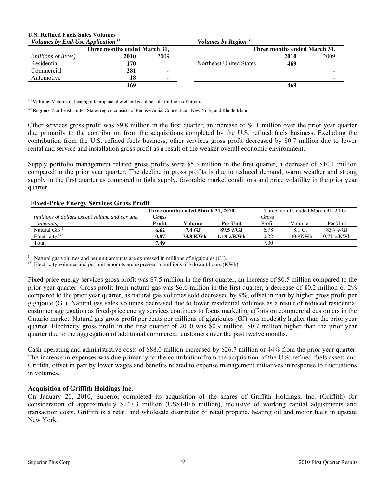# **U.S. Refined Fuels Sales Volumes**

| Volumes by End-Use Application $(1)$ |      |                          | Volumes by Region $(2)$      |      |      |
|--------------------------------------|------|--------------------------|------------------------------|------|------|
| Three months ended March 31,         |      |                          | Three months ended March 31, |      |      |
| ( <i>millions of litres</i> )        | 2010 | 2009                     |                              | 2010 | 2009 |
| Residential                          | 170  | $\blacksquare$           | Northeast United States      | 469  |      |
| Commercial                           | 281  | -                        |                              |      |      |
| Automotive                           | 18   | $\overline{\phantom{0}}$ |                              |      |      |
|                                      | 469  | -                        |                              | 469  |      |

(1) **Volume**: Volume of heating oil, propane, diesel and gasoline sold (millions of litres).

(2) **Regions**: Northeast United States region consists of Pennsylvania, Connecticut, New York, and Rhode Island.

Other services gross profit was \$9.8 million in the first quarter, an increase of \$4.1 million over the prior year quarter due primarily to the contribution from the acquisitions completed by the U.S. refined fuels business. Excluding the contribution from the U.S. refined fuels business, other services gross profit decreased by \$0.7 million due to lower rental and service and installation gross profit as a result of the weaker overall economic environment.

Supply portfolio management related gross profits were \$5.3 million in the first quarter, a decrease of \$10.1 million compared to the prior year quarter. The decline in gross profits is due to reduced demand, warm weather and strong supply in the first quarter as compared to tight supply, favorable market conditions and price volatility in the prior year quarter.

### **Fixed-Price Energy Services Gross Profit**

|                                                  | Three months ended March 31, 2010 |          |                      | Three months ended March 31, 2009 |         |                                      |
|--------------------------------------------------|-----------------------------------|----------|----------------------|-----------------------------------|---------|--------------------------------------|
| (millions of dollars except volume and per unit) | Gross                             |          |                      | Gross                             |         |                                      |
| <i>amounts</i> )                                 | Profit                            | Volume   | Per Unit             | Profit                            | Volume  | Per Unit                             |
| Natural Gas <sup>(1)</sup>                       | 6.62                              | 7.4 GJ   | 89.5 $\ell$ /GJ      | 6.78                              | 8.1 GJ  | $83.7 \text{ }\mathcal{C}/\text{GJ}$ |
| Electricity <sup>(2)</sup>                       | 0.87                              | 73.8 KWh | 1.18 $\epsilon$ /KWh | 0.22                              | 30.9KWh | $0.71 \text{ }\mathcal{C}/KWh$       |
| Total                                            | 7.49                              |          |                      | 7.00                              |         |                                      |

 $<sup>(1)</sup>$  Natural gas volumes and per unit amounts are expressed in millions of gigajoules (GJ).</sup>

<sup>(2)</sup> Electricity volumes and per unit amounts are expressed in millions of kilowatt hours (KWh).

Fixed-price energy services gross profit was \$7.5 million in the first quarter, an increase of \$0.5 million compared to the prior year quarter. Gross profit from natural gas was \$6.6 million in the first quarter, a decrease of \$0.2 million or 2% compared to the prior year quarter, as natural gas volumes sold decreased by 9%, offset in part by higher gross profit per gigajoule (GJ). Natural gas sales volumes decreased due to lower residential volumes as a result of reduced residential customer aggregation as fixed-price energy services continues to focus marketing efforts on commercial customers in the Ontario market. Natural gas gross profit per cents per millions of gigajoules (GJ) was modestly higher than the prior year quarter. Electricity gross profit in the first quarter of 2010 was \$0.9 million, \$0.7 million higher than the prior year quarter due to the aggregation of additional commercial customers over the past twelve months.

Cash operating and administrative costs of \$88.0 million increased by \$26.7 million or 44% from the prior year quarter. The increase in expenses was due primarily to the contribution from the acquisition of the U.S. refined fuels assets and Griffith, offset in part by lower wages and benefits related to expense management initiatives in response to fluctuations in volumes.

### **Acquisition of Griffith Holdings Inc.**

On January 20, 2010, Superior completed its acquisition of the shares of Griffith Holdings, Inc. (Griffith) for consideration of approximately \$147.3 million (US\$140.6 million), inclusive of working capital adjustments and transaction costs. Griffith is a retail and wholesale distributor of retail propane, heating oil and motor fuels in upstate New York.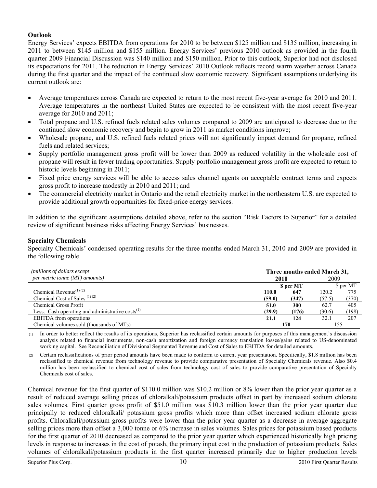### **Outlook**

Energy Services' expects EBITDA from operations for 2010 to be between \$125 million and \$135 million, increasing in 2011 to between \$145 million and \$155 million. Energy Services' previous 2010 outlook as provided in the fourth quarter 2009 Financial Discussion was \$140 million and \$150 million. Prior to this outlook, Superior had not disclosed its expectations for 2011. The reduction in Energy Services' 2010 Outlook reflects record warm weather across Canada during the first quarter and the impact of the continued slow economic recovery. Significant assumptions underlying its current outlook are:

- Average temperatures across Canada are expected to return to the most recent five-year average for 2010 and 2011. Average temperatures in the northeast United States are expected to be consistent with the most recent five-year average for 2010 and 2011;
- Total propane and U.S. refined fuels related sales volumes compared to 2009 are anticipated to decrease due to the continued slow economic recovery and begin to grow in 2011 as market conditions improve;
- Wholesale propane, and U.S. refined fuels related prices will not significantly impact demand for propane, refined fuels and related services;
- Supply portfolio management gross profit will be lower than 2009 as reduced volatility in the wholesale cost of propane will result in fewer trading opportunities. Supply portfolio management gross profit are expected to return to historic levels beginning in 2011;
- Fixed price energy services will be able to access sales channel agents on acceptable contract terms and expects gross profit to increase modestly in 2010 and 2011; and
- The commercial electricity market in Ontario and the retail electricity market in the northeastern U.S. are expected to provide additional growth opportunities for fixed-price energy services.

In addition to the significant assumptions detailed above, refer to the section "Risk Factors to Superior" for a detailed review of significant business risks affecting Energy Services' businesses.

#### **Specialty Chemicals**

Specialty Chemicals' condensed operating results for the three months ended March 31, 2010 and 2009 are provided in the following table.

| (millions of dollars except)                          |        | Three months ended March 31, |        |           |  |  |
|-------------------------------------------------------|--------|------------------------------|--------|-----------|--|--|
| per metric tonne (MT) amounts)                        |        | 2009<br>2010                 |        |           |  |  |
|                                                       |        | S per MT                     |        | \$ per MT |  |  |
| Chemical Revenue <sup>(1)(2)</sup>                    | 110.0  | 647                          | 120.2  | 775       |  |  |
| Chemical Cost of Sales $(1)(2)$                       | (59.0) | (347)                        | (57.5) | (370)     |  |  |
| Chemical Gross Profit                                 | 51.0   | 300                          | 62.7   | 405       |  |  |
| Less: Cash operating and administrative $costs^{(1)}$ | (29.9) | (176)                        | (30.6) | (198)     |  |  |
| <b>EBITDA</b> from operations                         | 21.1   | 124                          | 32.1   | 207       |  |  |
| Chemical volumes sold (thousands of MTs)              |        | 170                          |        |           |  |  |

(1) In order to better reflect the results of its operations, Superior has reclassified certain amounts for purposes of this management's discussion analysis related to financial instruments, non-cash amortization and foreign currency translation losses/gains related to US-denominated working capital. See Reconciliation of Divisional Segmented Revenue and Cost of Sales to EBITDA for detailed amounts.

(2) Certain reclassifications of prior period amounts have been made to conform to current year presentation. Specifically, \$1.8 million has been reclassified to chemical revenue from technology revenue to provide comparative presentation of Specialty Chemicals revenue. Also \$0.4 million has been reclassified to chemical cost of sales from technology cost of sales to provide comparative presentation of Specialty Chemicals cost of sales.

Chemical revenue for the first quarter of \$110.0 million was \$10.2 million or 8% lower than the prior year quarter as a result of reduced average selling prices of chloralkali/potassium products offset in part by increased sodium chlorate sales volumes. First quarter gross profit of \$51.0 million was \$10.3 million lower than the prior year quarter due principally to reduced chloralkali/ potassium gross profits which more than offset increased sodium chlorate gross profits. Chloralkali/potassium gross profits were lower than the prior year quarter as a decrease in average aggregate selling prices more than offset a 3,000 tonne or 6% increase in sales volumes. Sales prices for potassium based products for the first quarter of 2010 decreased as compared to the prior year quarter which experienced historically high pricing levels in response to increases in the cost of potash, the primary input cost in the production of potassium products. Sales volumes of chloralkali/potassium products in the first quarter increased primarily due to higher production levels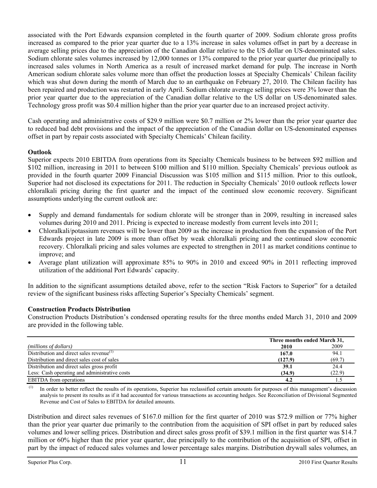associated with the Port Edwards expansion completed in the fourth quarter of 2009. Sodium chlorate gross profits increased as compared to the prior year quarter due to a 13% increase in sales volumes offset in part by a decrease in average selling prices due to the appreciation of the Canadian dollar relative to the US dollar on US-denominated sales. Sodium chlorate sales volumes increased by 12,000 tonnes or 13% compared to the prior year quarter due principally to increased sales volumes in North America as a result of increased market demand for pulp. The increase in North American sodium chlorate sales volume more than offset the production losses at Specialty Chemicals' Chilean facility which was shut down during the month of March due to an earthquake on February 27, 2010. The Chilean facility has been repaired and production was restarted in early April. Sodium chlorate average selling prices were 3% lower than the prior year quarter due to the appreciation of the Canadian dollar relative to the US dollar on US-denominated sales. Technology gross profit was \$0.4 million higher than the prior year quarter due to an increased project activity.

Cash operating and administrative costs of \$29.9 million were \$0.7 million or 2% lower than the prior year quarter due to reduced bad debt provisions and the impact of the appreciation of the Canadian dollar on US-denominated expenses offset in part by repair costs associated with Specialty Chemicals' Chilean facility.

### **Outlook**

Superior expects 2010 EBITDA from operations from its Specialty Chemicals business to be between \$92 million and \$102 million, increasing in 2011 to between \$100 million and \$110 million. Specialty Chemicals' previous outlook as provided in the fourth quarter 2009 Financial Discussion was \$105 million and \$115 million. Prior to this outlook, Superior had not disclosed its expectations for 2011. The reduction in Specialty Chemicals' 2010 outlook reflects lower chloralkali pricing during the first quarter and the impact of the continued slow economic recovery. Significant assumptions underlying the current outlook are:

- Supply and demand fundamentals for sodium chlorate will be stronger than in 2009, resulting in increased sales volumes during 2010 and 2011. Pricing is expected to increase modestly from current levels into 2011;
- Chloralkali/potassium revenues will be lower than 2009 as the increase in production from the expansion of the Port Edwards project in late 2009 is more than offset by weak chloralkali pricing and the continued slow economic recovery. Chloralkali pricing and sales volumes are expected to strengthen in 2011 as market conditions continue to improve; and
- Average plant utilization will approximate 85% to 90% in 2010 and exceed 90% in 2011 reflecting improved utilization of the additional Port Edwards' capacity.

In addition to the significant assumptions detailed above, refer to the section "Risk Factors to Superior" for a detailed review of the significant business risks affecting Superior's Specialty Chemicals' segment.

### **Construction Products Distribution**

Construction Products Distribution's condensed operating results for the three months ended March 31, 2010 and 2009 are provided in the following table.

|                                               | Three months ended March 31, |        |  |  |
|-----------------------------------------------|------------------------------|--------|--|--|
| (millions of dollars)                         | 2010                         | 2009   |  |  |
| Distribution and direct sales revenue $(1)$   | 167.0                        | 94.1   |  |  |
| Distribution and direct sales cost of sales   | (127.9)                      | (69.7) |  |  |
| Distribution and direct sales gross profit    | 39.1                         | 24.4   |  |  |
| Less: Cash operating and administrative costs | (34.9)                       | (22.9) |  |  |
| <b>EBITDA</b> from operations                 | 4.2                          |        |  |  |

(1) In order to better reflect the results of its operations, Superior has reclassified certain amounts for purposes of this management's discussion analysis to present its results as if it had accounted for various transactions as accounting hedges. See Reconciliation of Divisional Segmented Revenue and Cost of Sales to EBITDA for detailed amounts.

Distribution and direct sales revenues of \$167.0 million for the first quarter of 2010 was \$72.9 million or 77% higher than the prior year quarter due primarily to the contribution from the acquisition of SPI offset in part by reduced sales volumes and lower selling prices. Distribution and direct sales gross profit of \$39.1 million in the first quarter was \$14.7 million or 60% higher than the prior year quarter, due principally to the contribution of the acquisition of SPI, offset in part by the impact of reduced sales volumes and lower percentage sales margins. Distribution drywall sales volumes, an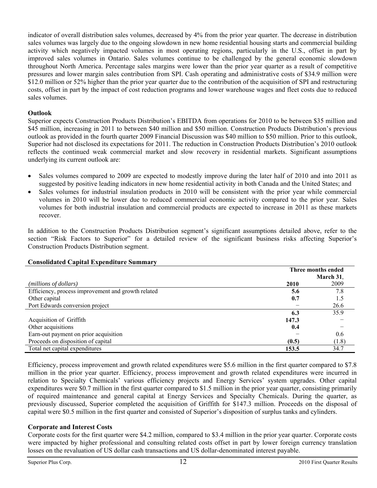indicator of overall distribution sales volumes, decreased by 4% from the prior year quarter. The decrease in distribution sales volumes was largely due to the ongoing slowdown in new home residential housing starts and commercial building activity which negatively impacted volumes in most operating regions, particularly in the U.S., offset in part by improved sales volumes in Ontario. Sales volumes continue to be challenged by the general economic slowdown throughout North America. Percentage sales margins were lower than the prior year quarter as a result of competitive pressures and lower margin sales contribution from SPI. Cash operating and administrative costs of \$34.9 million were \$12.0 million or 52% higher than the prior year quarter due to the contribution of the acquisition of SPI and restructuring costs, offset in part by the impact of cost reduction programs and lower warehouse wages and fleet costs due to reduced sales volumes.

### **Outlook**

Superior expects Construction Products Distribution's EBITDA from operations for 2010 to be between \$35 million and \$45 million, increasing in 2011 to between \$40 million and \$50 million. Construction Products Distribution's previous outlook as provided in the fourth quarter 2009 Financial Discussion was \$40 million to \$50 million. Prior to this outlook, Superior had not disclosed its expectations for 2011. The reduction in Construction Products Distribution's 2010 outlook reflects the continued weak commercial market and slow recovery in residential markets. Significant assumptions underlying its current outlook are:

- Sales volumes compared to 2009 are expected to modestly improve during the later half of 2010 and into 2011 as suggested by positive leading indicators in new home residential activity in both Canada and the United States; and
- Sales volumes for industrial insulation products in 2010 will be consistent with the prior year while commercial volumes in 2010 will be lower due to reduced commercial economic activity compared to the prior year. Sales volumes for both industrial insulation and commercial products are expected to increase in 2011 as these markets recover.

In addition to the Construction Products Distribution segment's significant assumptions detailed above, refer to the section "Risk Factors to Superior" for a detailed review of the significant business risks affecting Superior's Construction Products Distribution segment.

| <b>Consolidated Capital Expenditure Summary</b> |  |  |
|-------------------------------------------------|--|--|
|                                                 |  |  |

|                                                    | Three months ended |       |  |
|----------------------------------------------------|--------------------|-------|--|
|                                                    | March $31$ ,       |       |  |
| (millions of dollars)                              | 2010               | 2009  |  |
| Efficiency, process improvement and growth related | 5.6                | 7.8   |  |
| Other capital                                      | 0.7                | 1.5   |  |
| Port Edwards conversion project                    |                    | 26.6  |  |
|                                                    | 6.3                | 35.9  |  |
| Acquisition of Griffith                            | 147.3              |       |  |
| Other acquisitions                                 | 0.4                |       |  |
| Earn-out payment on prior acquisition              |                    | 0.6   |  |
| Proceeds on disposition of capital                 | (0.5)              | (1.8) |  |
| Total net capital expenditures                     | 153.5              | 34.7  |  |

Efficiency, process improvement and growth related expenditures were \$5.6 million in the first quarter compared to \$7.8 million in the prior year quarter. Efficiency, process improvement and growth related expenditures were incurred in relation to Specialty Chemicals' various efficiency projects and Energy Services' system upgrades. Other capital expenditures were \$0.7 million in the first quarter compared to \$1.5 million in the prior year quarter, consisting primarily of required maintenance and general capital at Energy Services and Specialty Chemicals. During the quarter, as previously discussed, Superior completed the acquisition of Griffith for \$147.3 million. Proceeds on the disposal of capital were \$0.5 million in the first quarter and consisted of Superior's disposition of surplus tanks and cylinders.

### **Corporate and Interest Costs**

Corporate costs for the first quarter were \$4.2 million, compared to \$3.4 million in the prior year quarter. Corporate costs were impacted by higher professional and consulting related costs offset in part by lower foreign currency translation losses on the revaluation of US dollar cash transactions and US dollar-denominated interest payable.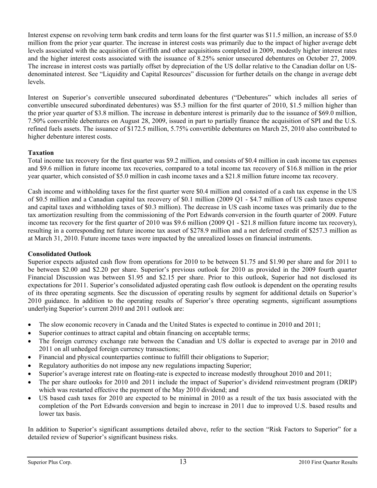Interest expense on revolving term bank credits and term loans for the first quarter was \$11.5 million, an increase of \$5.0 million from the prior year quarter. The increase in interest costs was primarily due to the impact of higher average debt levels associated with the acquisition of Griffith and other acquisitions completed in 2009, modestly higher interest rates and the higher interest costs associated with the issuance of 8.25% senior unsecured debentures on October 27, 2009. The increase in interest costs was partially offset by depreciation of the US dollar relative to the Canadian dollar on USdenominated interest. See "Liquidity and Capital Resources" discussion for further details on the change in average debt levels.

Interest on Superior's convertible unsecured subordinated debentures ("Debentures" which includes all series of convertible unsecured subordinated debentures) was \$5.3 million for the first quarter of 2010, \$1.5 million higher than the prior year quarter of \$3.8 million. The increase in debenture interest is primarily due to the issuance of \$69.0 million, 7.50% convertible debentures on August 28, 2009, issued in part to partially finance the acquisition of SPI and the U.S. refined fuels assets. The issuance of \$172.5 million, 5.75% convertible debentures on March 25, 2010 also contributed to higher debenture interest costs.

### **Taxation**

Total income tax recovery for the first quarter was \$9.2 million, and consists of \$0.4 million in cash income tax expenses and \$9.6 million in future income tax recoveries, compared to a total income tax recovery of \$16.8 million in the prior year quarter, which consisted of \$5.0 million in cash income taxes and a \$21.8 million future income tax recovery.

Cash income and withholding taxes for the first quarter were \$0.4 million and consisted of a cash tax expense in the US of \$0.5 million and a Canadian capital tax recovery of \$0.1 million (2009 Q1 - \$4.7 million of US cash taxes expense and capital taxes and withholding taxes of \$0.3 million). The decrease in US cash income taxes was primarily due to the tax amortization resulting from the commissioning of the Port Edwards conversion in the fourth quarter of 2009. Future income tax recovery for the first quarter of 2010 was \$9.6 million (2009 Q1 - \$21.8 million future income tax recovery), resulting in a corresponding net future income tax asset of \$278.9 million and a net deferred credit of \$257.3 million as at March 31, 2010. Future income taxes were impacted by the unrealized losses on financial instruments.

### **Consolidated Outlook**

Superior expects adjusted cash flow from operations for 2010 to be between \$1.75 and \$1.90 per share and for 2011 to be between \$2.00 and \$2.20 per share. Superior's previous outlook for 2010 as provided in the 2009 fourth quarter Financial Discussion was between \$1.95 and \$2.15 per share. Prior to this outlook, Superior had not disclosed its expectations for 2011. Superior's consolidated adjusted operating cash flow outlook is dependent on the operating results of its three operating segments. See the discussion of operating results by segment for additional details on Superior's 2010 guidance. In addition to the operating results of Superior's three operating segments, significant assumptions underlying Superior's current 2010 and 2011 outlook are:

- The slow economic recovery in Canada and the United States is expected to continue in 2010 and 2011;
- Superior continues to attract capital and obtain financing on acceptable terms;
- The foreign currency exchange rate between the Canadian and US dollar is expected to average par in 2010 and 2011 on all unhedged foreign currency transactions;
- Financial and physical counterparties continue to fulfill their obligations to Superior;
- Regulatory authorities do not impose any new regulations impacting Superior;
- Superior's average interest rate on floating-rate is expected to increase modestly throughout 2010 and 2011;
- The per share outlooks for 2010 and 2011 include the impact of Superior's dividend reinvestment program (DRIP) which was restarted effective the payment of the May 2010 dividend; and
- US based cash taxes for 2010 are expected to be minimal in 2010 as a result of the tax basis associated with the completion of the Port Edwards conversion and begin to increase in 2011 due to improved U.S. based results and lower tax basis.

In addition to Superior's significant assumptions detailed above, refer to the section "Risk Factors to Superior" for a detailed review of Superior's significant business risks.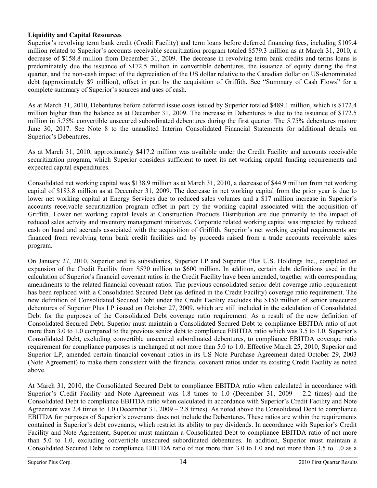### **Liquidity and Capital Resources**

Superior's revolving term bank credit (Credit Facility) and term loans before deferred financing fees, including \$109.4 million related to Superior's accounts receivable securitization program totaled \$579.3 million as at March 31, 2010, a decrease of \$158.8 million from December 31, 2009. The decrease in revolving term bank credits and terms loans is predominately due the issuance of \$172.5 million in convertible debentures, the issuance of equity during the first quarter, and the non-cash impact of the depreciation of the US dollar relative to the Canadian dollar on US-denominated debt (approximately \$9 million), offset in part by the acquisition of Griffith. See "Summary of Cash Flows" for a complete summary of Superior's sources and uses of cash.

As at March 31, 2010, Debentures before deferred issue costs issued by Superior totaled \$489.1 million, which is \$172.4 million higher than the balance as at December 31, 2009. The increase in Debentures is due to the issuance of \$172.5 million in 5.75% convertible unsecured subordinated debentures during the first quarter. The 5.75% debentures mature June 30, 2017. See Note 8 to the unaudited Interim Consolidated Financial Statements for additional details on Superior's Debentures.

As at March 31, 2010, approximately \$417.2 million was available under the Credit Facility and accounts receivable securitization program, which Superior considers sufficient to meet its net working capital funding requirements and expected capital expenditures.

Consolidated net working capital was \$138.9 million as at March 31, 2010, a decrease of \$44.9 million from net working capital of \$183.8 million as at December 31, 2009. The decrease in net working capital from the prior year is due to lower net working capital at Energy Services due to reduced sales volumes and a \$17 million increase in Superior's accounts receivable securitization program offset in part by the working capital associated with the acquisition of Griffith. Lower net working capital levels at Construction Products Distribution are due primarily to the impact of reduced sales activity and inventory management initiatives. Corporate related working capital was impacted by reduced cash on hand and accruals associated with the acquisition of Griffith. Superior's net working capital requirements are financed from revolving term bank credit facilities and by proceeds raised from a trade accounts receivable sales program.

On January 27, 2010, Superior and its subsidiaries, Superior LP and Superior Plus U.S. Holdings Inc., completed an expansion of the Credit Facility from \$570 million to \$600 million. In addition, certain debt definitions used in the calculation of Superior's financial covenant ratios in the Credit Facility have been amended, together with corresponding amendments to the related financial covenant ratios. The previous consolidated senior debt coverage ratio requirement has been replaced with a Consolidated Secured Debt (as defined in the Credit Facility) coverage ratio requirement. The new definition of Consolidated Secured Debt under the Credit Facility excludes the \$150 million of senior unsecured debentures of Superior Plus LP issued on October 27, 2009, which are still included in the calculation of Consolidated Debt for the purposes of the Consolidated Debt coverage ratio requirement. As a result of the new definition of Consolidated Secured Debt, Superior must maintain a Consolidated Secured Debt to compliance EBITDA ratio of not more than 3.0 to 1.0 compared to the previous senior debt to compliance EBITDA ratio which was 3.5 to 1.0. Superior's Consolidated Debt, excluding convertible unsecured subordinated debentures, to compliance EBITDA coverage ratio requirement for compliance purposes is unchanged at not more than 5.0 to 1.0. Effective March 25, 2010, Superior and Superior LP, amended certain financial covenant ratios in its US Note Purchase Agreement dated October 29, 2003 (Note Agreement) to make them consistent with the financial covenant ratios under its existing Credit Facility as noted above.

At March 31, 2010, the Consolidated Secured Debt to compliance EBITDA ratio when calculated in accordance with Superior's Credit Facility and Note Agreement was 1.8 times to 1.0 (December 31, 2009 – 2.2 times) and the Consolidated Debt to compliance EBITDA ratio when calculated in accordance with Superior's Credit Facility and Note Agreement was 2.4 times to 1.0 (December 31, 2009 – 2.8 times). As noted above the Consolidated Debt to compliance EBITDA for purposes of Superior's covenants does not include the Debentures. These ratios are within the requirements contained in Superior's debt covenants, which restrict its ability to pay dividends. In accordance with Superior's Credit Facility and Note Agreement, Superior must maintain a Consolidated Debt to compliance EBITDA ratio of not more than 5.0 to 1.0, excluding convertible unsecured subordinated debentures. In addition, Superior must maintain a Consolidated Secured Debt to compliance EBITDA ratio of not more than 3.0 to 1.0 and not more than 3.5 to 1.0 as a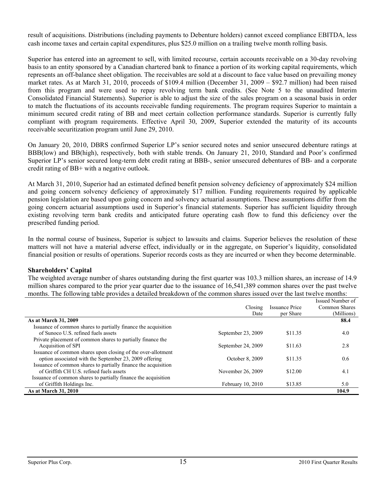result of acquisitions. Distributions (including payments to Debenture holders) cannot exceed compliance EBITDA, less cash income taxes and certain capital expenditures, plus \$25.0 million on a trailing twelve month rolling basis.

Superior has entered into an agreement to sell, with limited recourse, certain accounts receivable on a 30-day revolving basis to an entity sponsored by a Canadian chartered bank to finance a portion of its working capital requirements, which represents an off-balance sheet obligation. The receivables are sold at a discount to face value based on prevailing money market rates. As at March 31, 2010, proceeds of \$109.4 million (December 31, 2009 – \$92.7 million) had been raised from this program and were used to repay revolving term bank credits. (See Note 5 to the unaudited Interim Consolidated Financial Statements). Superior is able to adjust the size of the sales program on a seasonal basis in order to match the fluctuations of its accounts receivable funding requirements. The program requires Superior to maintain a minimum secured credit rating of BB and meet certain collection performance standards. Superior is currently fully compliant with program requirements. Effective April 30, 2009, Superior extended the maturity of its accounts receivable securitization program until June 29, 2010.

On January 20, 2010, DBRS confirmed Superior LP's senior secured notes and senior unsecured debenture ratings at BBB(low) and BB(high), respectively, both with stable trends. On January 21, 2010, Standard and Poor's confirmed Superior LP's senior secured long-term debt credit rating at BBB-, senior unsecured debentures of BB- and a corporate credit rating of BB+ with a negative outlook.

At March 31, 2010, Superior had an estimated defined benefit pension solvency deficiency of approximately \$24 million and going concern solvency deficiency of approximately \$17 million. Funding requirements required by applicable pension legislation are based upon going concern and solvency actuarial assumptions. These assumptions differ from the going concern actuarial assumptions used in Superior's financial statements. Superior has sufficient liquidity through existing revolving term bank credits and anticipated future operating cash flow to fund this deficiency over the prescribed funding period.

In the normal course of business, Superior is subject to lawsuits and claims. Superior believes the resolution of these matters will not have a material adverse effect, individually or in the aggregate, on Superior's liquidity, consolidated financial position or results of operations. Superior records costs as they are incurred or when they become determinable.

#### **Shareholders' Capital**

The weighted average number of shares outstanding during the first quarter was 103.3 million shares, an increase of 14.9 million shares compared to the prior year quarter due to the issuance of 16,541,389 common shares over the past twelve months. The following table provides a detailed breakdown of the common shares issued over the last twelve months:

|                                                                |                    |                | Issued Number of |
|----------------------------------------------------------------|--------------------|----------------|------------------|
|                                                                | Closing            | Issuance Price | Common Shares    |
|                                                                | Date               | per Share      | (Millions)       |
| As at March 31, 2009                                           |                    |                | 88.4             |
| Issuance of common shares to partially finance the acquisition |                    |                |                  |
| of Sunoco U.S. refined fuels assets                            | September 23, 2009 | \$11.35        | 4.0              |
| Private placement of common shares to partially finance the    |                    |                |                  |
| Acquisition of SPI                                             | September 24, 2009 | \$11.63        | 2.8              |
| Issuance of common shares upon closing of the over-allotment   |                    |                |                  |
| option associated with the September 23, 2009 offering         | October 8, 2009    | \$11.35        | 0.6              |
| Issuance of common shares to partially finance the acquisition |                    |                |                  |
| of Griffith CH U.S. refined fuels assets                       | November 26, 2009  | \$12.00        | 4.1              |
| Issuance of common shares to partially finance the acquisition |                    |                |                  |
| of Griffith Holdings Inc.                                      | February 10, 2010  | \$13.85        | 5.0              |
| As at March 31, 2010                                           |                    |                | 104.9            |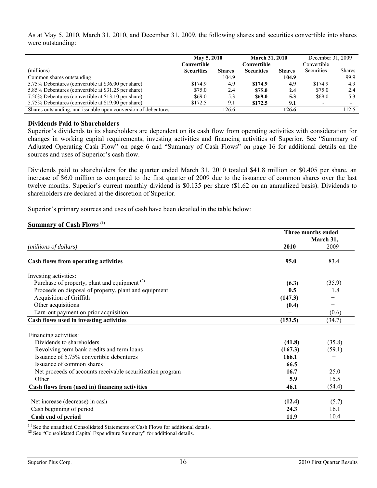As at May 5, 2010, March 31, 2010, and December 31, 2009, the following shares and securities convertible into shares were outstanding:

|                                                                | May 5, 2010       |               | <b>March 31, 2010</b> |               | December 31, 2009 |               |
|----------------------------------------------------------------|-------------------|---------------|-----------------------|---------------|-------------------|---------------|
|                                                                | Convertible       |               | Convertible           |               | Convertible       |               |
| (millions)                                                     | <b>Securities</b> | <b>Shares</b> | <b>Securities</b>     | <b>Shares</b> | Securities        | <b>Shares</b> |
| Common shares outstanding                                      |                   | 104.9         |                       | 104.9         |                   | 99.9          |
| 5.75% Debentures (convertible at \$36.00 per share)            | \$174.9           | 4.9           | \$174.9               | 4.9           | \$174.9           | 4.9           |
| 5.85% Debentures (convertible at \$31.25 per share)            | \$75.0            | 2.4           | \$75.0                | 2.4           | \$75.0            | 2.4           |
| 7.50% Debentures (convertible at \$13.10 per share)            | \$69.0            | 5.3           | \$69.0                | 5.3           | \$69.0            | 5.3           |
| 5.75% Debentures (convertible at \$19.00 per share)            | \$172.5           | 9.1           | \$172.5               | 9.1           |                   |               |
| Shares outstanding, and issuable upon conversion of debentures |                   | 126.6         |                       | 126.6         |                   | 112.5         |

#### **Dividends Paid to Shareholders**

Superior's dividends to its shareholders are dependent on its cash flow from operating activities with consideration for changes in working capital requirements, investing activities and financing activities of Superior. See "Summary of Adjusted Operating Cash Flow" on page 6 and "Summary of Cash Flows" on page 16 for additional details on the sources and uses of Superior's cash flow.

Dividends paid to shareholders for the quarter ended March 31, 2010 totaled \$41.8 million or \$0.405 per share, an increase of \$6.0 million as compared to the first quarter of 2009 due to the issuance of common shares over the last twelve months. Superior's current monthly dividend is \$0.135 per share (\$1.62 on an annualized basis). Dividends to shareholders are declared at the discretion of Superior.

Superior's primary sources and uses of cash have been detailed in the table below:

#### **Summary of Cash Flows** (1)

|                                                            | Three months ended |           |  |  |
|------------------------------------------------------------|--------------------|-----------|--|--|
|                                                            |                    | March 31, |  |  |
| (millions of dollars)                                      | 2010               | 2009      |  |  |
| Cash flows from operating activities                       | 95.0               | 83.4      |  |  |
| Investing activities:                                      |                    |           |  |  |
| Purchase of property, plant and equipment <sup>(2)</sup>   | (6.3)              | (35.9)    |  |  |
| Proceeds on disposal of property, plant and equipment      | 0.5                | 1.8       |  |  |
| Acquisition of Griffith                                    | (147.3)            |           |  |  |
| Other acquisitions                                         | (0.4)              |           |  |  |
| Earn-out payment on prior acquisition                      |                    | (0.6)     |  |  |
| Cash flows used in investing activities                    | (153.5)            | (34.7)    |  |  |
| Financing activities:                                      |                    |           |  |  |
| Dividends to shareholders                                  | (41.8)             | (35.8)    |  |  |
| Revolving term bank credits and term loans                 | (167.3)            | (59.1)    |  |  |
| Issuance of 5.75% convertible debentures                   | 166.1              |           |  |  |
| Issuance of common shares                                  | 66.5               |           |  |  |
| Net proceeds of accounts receivable securitization program | 16.7               | 25.0      |  |  |
| Other                                                      | 5.9                | 15.5      |  |  |
| Cash flows from (used in) financing activities             | 46.1               | (54.4)    |  |  |
| Net increase (decrease) in cash                            | (12.4)             | (5.7)     |  |  |
| Cash beginning of period                                   | 24.3               | 16.1      |  |  |
| Cash end of period                                         | 11.9               | 10.4      |  |  |

(1) See the unaudited Consolidated Statements of Cash Flows for additional details.

 $^{(2)}$  See "Consolidated Capital Expenditure Summary" for additional details.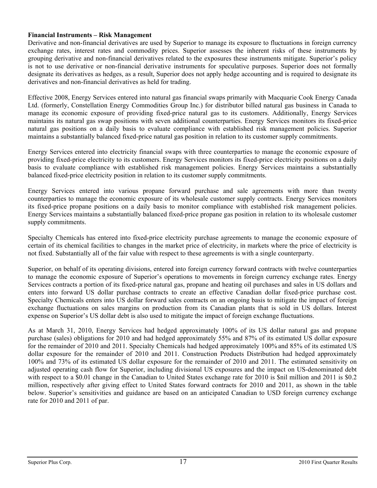#### **Financial Instruments – Risk Management**

Derivative and non-financial derivatives are used by Superior to manage its exposure to fluctuations in foreign currency exchange rates, interest rates and commodity prices. Superior assesses the inherent risks of these instruments by grouping derivative and non-financial derivatives related to the exposures these instruments mitigate. Superior's policy is not to use derivative or non-financial derivative instruments for speculative purposes. Superior does not formally designate its derivatives as hedges, as a result, Superior does not apply hedge accounting and is required to designate its derivatives and non-financial derivatives as held for trading.

Effective 2008, Energy Services entered into natural gas financial swaps primarily with Macquarie Cook Energy Canada Ltd. (formerly, Constellation Energy Commodities Group Inc.) for distributor billed natural gas business in Canada to manage its economic exposure of providing fixed-price natural gas to its customers. Additionally, Energy Services maintains its natural gas swap positions with seven additional counterparties. Energy Services monitors its fixed-price natural gas positions on a daily basis to evaluate compliance with established risk management policies. Superior maintains a substantially balanced fixed-price natural gas position in relation to its customer supply commitments.

Energy Services entered into electricity financial swaps with three counterparties to manage the economic exposure of providing fixed-price electricity to its customers. Energy Services monitors its fixed-price electricity positions on a daily basis to evaluate compliance with established risk management policies. Energy Services maintains a substantially balanced fixed-price electricity position in relation to its customer supply commitments.

Energy Services entered into various propane forward purchase and sale agreements with more than twenty counterparties to manage the economic exposure of its wholesale customer supply contracts. Energy Services monitors its fixed-price propane positions on a daily basis to monitor compliance with established risk management policies. Energy Services maintains a substantially balanced fixed-price propane gas position in relation to its wholesale customer supply commitments.

Specialty Chemicals has entered into fixed-price electricity purchase agreements to manage the economic exposure of certain of its chemical facilities to changes in the market price of electricity, in markets where the price of electricity is not fixed. Substantially all of the fair value with respect to these agreements is with a single counterparty.

Superior, on behalf of its operating divisions, entered into foreign currency forward contracts with twelve counterparties to manage the economic exposure of Superior's operations to movements in foreign currency exchange rates. Energy Services contracts a portion of its fixed-price natural gas, propane and heating oil purchases and sales in US dollars and enters into forward US dollar purchase contracts to create an effective Canadian dollar fixed-price purchase cost. Specialty Chemicals enters into US dollar forward sales contracts on an ongoing basis to mitigate the impact of foreign exchange fluctuations on sales margins on production from its Canadian plants that is sold in US dollars. Interest expense on Superior's US dollar debt is also used to mitigate the impact of foreign exchange fluctuations.

As at March 31, 2010, Energy Services had hedged approximately 100% of its US dollar natural gas and propane purchase (sales) obligations for 2010 and had hedged approximately 55% and 87% of its estimated US dollar exposure for the remainder of 2010 and 2011. Specialty Chemicals had hedged approximately 100% and 85% of its estimated US dollar exposure for the remainder of 2010 and 2011. Construction Products Distribution had hedged approximately 100% and 73% of its estimated US dollar exposure for the remainder of 2010 and 2011. The estimated sensitivity on adjusted operating cash flow for Superior, including divisional US exposures and the impact on US-denominated debt with respect to a \$0.01 change in the Canadian to United States exchange rate for 2010 is \$nil million and 2011 is \$0.2 million, respectively after giving effect to United States forward contracts for 2010 and 2011, as shown in the table below. Superior's sensitivities and guidance are based on an anticipated Canadian to USD foreign currency exchange rate for 2010 and 2011 of par.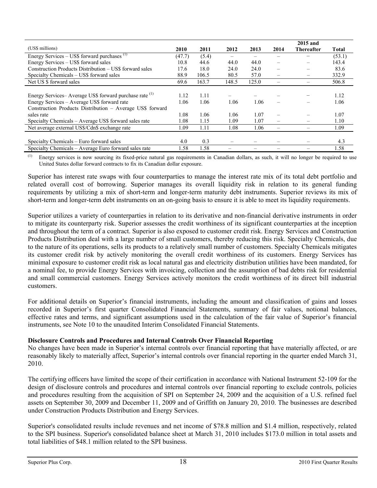|                                                                   |        |       |       |       |      | $2015$ and               |              |
|-------------------------------------------------------------------|--------|-------|-------|-------|------|--------------------------|--------------|
| (US\$ millions)                                                   | 2010   | 2011  | 2012  | 2013  | 2014 | <b>Thereafter</b>        | <b>Total</b> |
| Energy Services – US\$ forward purchases $(1)$                    | (47.7) | (5.4) |       |       |      |                          | (53.1)       |
| Energy Services – US\$ forward sales                              | 10.8   | 44.6  | 44.0  | 44.0  |      | $\overline{\phantom{m}}$ | 143.4        |
| Construction Products Distribution – US\$ forward sales           | 17.6   | 18.0  | 24.0  | 24.0  |      |                          | 83.6         |
| Specialty Chemicals – US\$ forward sales                          | 88.9   | 106.5 | 80.5  | 57.0  |      |                          | 332.9        |
| Net US \$ forward sales                                           | 69.6   | 163.7 | 148.5 | 125.0 |      |                          | 506.8        |
|                                                                   |        |       |       |       |      |                          |              |
| Energy Services–Average US\$ forward purchase rate <sup>(1)</sup> | 1.12   | 1.11  |       |       |      |                          | 1.12         |
| Energy Services – Average US\$ forward rate                       | 1.06   | 1.06  | 1.06  | 1.06  |      |                          | 1.06         |
| Construction Products Distribution – Average US\$ forward         |        |       |       |       |      |                          |              |
| sales rate                                                        | 1.08   | 1.06  | 1.06  | 1.07  |      |                          | 1.07         |
| Specialty Chemicals – Average US\$ forward sales rate             | 1.08   | 1.15  | 1.09  | 1.07  |      |                          | 1.10         |
| Net average external US\$/Cdn\$ exchange rate                     | 1.09   | 1.11  | 1.08  | 1.06  |      |                          | 1.09         |
|                                                                   |        |       |       |       |      |                          |              |
| Specialty Chemicals – Euro forward sales                          | 4.0    | 0.3   |       |       |      |                          | 4.3          |
| Specialty Chemicals – Average Euro forward sales rate             | 1.58   | 1.58  |       |       |      |                          | 1.58         |

 $<sup>(1)</sup>$  Energy services is now sourcing its fixed-price natural gas requirements in Canadian dollars, as such, it will no longer be required to use</sup> United States dollar forward contracts to fix its Canadian dollar exposure.

Superior has interest rate swaps with four counterparties to manage the interest rate mix of its total debt portfolio and related overall cost of borrowing. Superior manages its overall liquidity risk in relation to its general funding requirements by utilizing a mix of short-term and longer-term maturity debt instruments. Superior reviews its mix of short-term and longer-term debt instruments on an on-going basis to ensure it is able to meet its liquidity requirements.

Superior utilizes a variety of counterparties in relation to its derivative and non-financial derivative instruments in order to mitigate its counterparty risk. Superior assesses the credit worthiness of its significant counterparties at the inception and throughout the term of a contract. Superior is also exposed to customer credit risk. Energy Services and Construction Products Distribution deal with a large number of small customers, thereby reducing this risk. Specialty Chemicals, due to the nature of its operations, sells its products to a relatively small number of customers. Specialty Chemicals mitigates its customer credit risk by actively monitoring the overall credit worthiness of its customers. Energy Services has minimal exposure to customer credit risk as local natural gas and electricity distribution utilities have been mandated, for a nominal fee, to provide Energy Services with invoicing, collection and the assumption of bad debts risk for residential and small commercial customers. Energy Services actively monitors the credit worthiness of its direct bill industrial customers.

For additional details on Superior's financial instruments, including the amount and classification of gains and losses recorded in Superior's first quarter Consolidated Financial Statements, summary of fair values, notional balances, effective rates and terms, and significant assumptions used in the calculation of the fair value of Superior's financial instruments, see Note 10 to the unaudited Interim Consolidated Financial Statements.

### **Disclosure Controls and Procedures and Internal Controls Over Financial Reporting**

No changes have been made in Superior's internal controls over financial reporting that have materially affected, or are reasonably likely to materially affect, Superior's internal controls over financial reporting in the quarter ended March 31, 2010.

The certifying officers have limited the scope of their certification in accordance with National Instrument 52-109 for the design of disclosure controls and procedures and internal controls over financial reporting to exclude controls, policies and procedures resulting from the acquisition of SPI on September 24, 2009 and the acquisition of a U.S. refined fuel assets on September 30, 2009 and December 11, 2009 and of Griffith on January 20, 2010. The businesses are described under Construction Products Distribution and Energy Services.

Superior's consolidated results include revenues and net income of \$78.8 million and \$1.4 million, respectively, related to the SPI business. Superior's consolidated balance sheet at March 31, 2010 includes \$173.0 million in total assets and total liabilities of \$48.1 million related to the SPI business.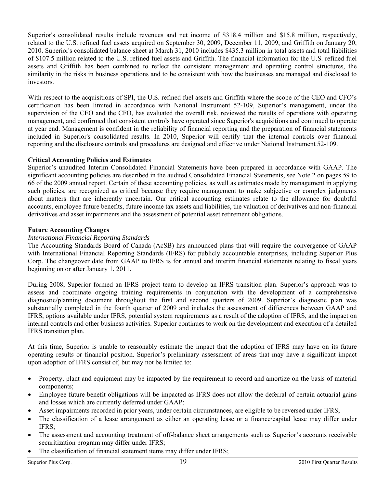Superior's consolidated results include revenues and net income of \$318.4 million and \$15.8 million, respectively, related to the U.S. refined fuel assets acquired on September 30, 2009, December 11, 2009, and Griffith on January 20, 2010. Superior's consolidated balance sheet at March 31, 2010 includes \$435.3 million in total assets and total liabilities of \$107.5 million related to the U.S. refined fuel assets and Griffith. The financial information for the U.S. refined fuel assets and Griffith has been combined to reflect the consistent management and operating control structures, the similarity in the risks in business operations and to be consistent with how the businesses are managed and disclosed to investors.

With respect to the acquisitions of SPI, the U.S. refined fuel assets and Griffith where the scope of the CEO and CFO's certification has been limited in accordance with National Instrument 52-109, Superior's management, under the supervision of the CEO and the CFO, has evaluated the overall risk, reviewed the results of operations with operating management, and confirmed that consistent controls have operated since Superior's acquisitions and continued to operate at year end. Management is confident in the reliability of financial reporting and the preparation of financial statements included in Superior's consolidated results. In 2010, Superior will certify that the internal controls over financial reporting and the disclosure controls and procedures are designed and effective under National Instrument 52-109.

#### **Critical Accounting Policies and Estimates**

Superior's unaudited Interim Consolidated Financial Statements have been prepared in accordance with GAAP. The significant accounting policies are described in the audited Consolidated Financial Statements, see Note 2 on pages 59 to 66 of the 2009 annual report. Certain of these accounting policies, as well as estimates made by management in applying such policies, are recognized as critical because they require management to make subjective or complex judgments about matters that are inherently uncertain. Our critical accounting estimates relate to the allowance for doubtful accounts, employee future benefits, future income tax assets and liabilities, the valuation of derivatives and non-financial derivatives and asset impairments and the assessment of potential asset retirement obligations.

#### **Future Accounting Changes**

#### *International Financial Reporting Standards*

The Accounting Standards Board of Canada (AcSB) has announced plans that will require the convergence of GAAP with International Financial Reporting Standards (IFRS) for publicly accountable enterprises, including Superior Plus Corp. The changeover date from GAAP to IFRS is for annual and interim financial statements relating to fiscal years beginning on or after January 1, 2011.

During 2008, Superior formed an IFRS project team to develop an IFRS transition plan. Superior's approach was to assess and coordinate ongoing training requirements in conjunction with the development of a comprehensive diagnostic/planning document throughout the first and second quarters of 2009. Superior's diagnostic plan was substantially completed in the fourth quarter of 2009 and includes the assessment of differences between GAAP and IFRS, options available under IFRS, potential system requirements as a result of the adoption of IFRS, and the impact on internal controls and other business activities. Superior continues to work on the development and execution of a detailed IFRS transition plan.

At this time, Superior is unable to reasonably estimate the impact that the adoption of IFRS may have on its future operating results or financial position. Superior's preliminary assessment of areas that may have a significant impact upon adoption of IFRS consist of, but may not be limited to:

- Property, plant and equipment may be impacted by the requirement to record and amortize on the basis of material components;
- Employee future benefit obligations will be impacted as IFRS does not allow the deferral of certain actuarial gains and losses which are currently deferred under GAAP;
- Asset impairments recorded in prior years, under certain circumstances, are eligible to be reversed under IFRS;
- The classification of a lease arrangement as either an operating lease or a finance/capital lease may differ under IFRS;
- The assessment and accounting treatment of off-balance sheet arrangements such as Superior's accounts receivable securitization program may differ under IFRS;
- The classification of financial statement items may differ under IFRS;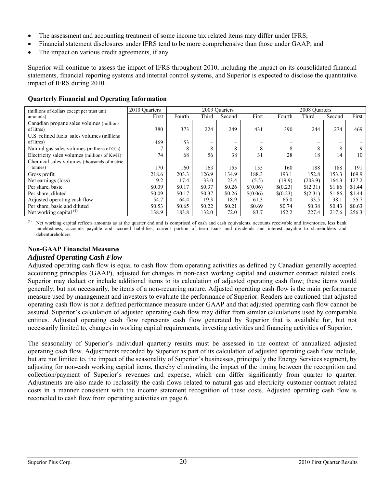- The assessment and accounting treatment of some income tax related items may differ under IFRS;
- Financial statement disclosures under IFRS tend to be more comprehensive than those under GAAP; and
- The impact on various credit agreements, if any.

Superior will continue to assess the impact of IFRS throughout 2010, including the impact on its consolidated financial statements, financial reporting systems and internal control systems, and Superior is expected to disclose the quantitative impact of IFRS during 2010.

| (millions of dollars except per trust unit) | 2010 Quarters |        |        | 2009 Ouarters   |          |          | 2008 Ouarters            |         |        |
|---------------------------------------------|---------------|--------|--------|-----------------|----------|----------|--------------------------|---------|--------|
| amounts)                                    | First         | Fourth | Third  | Second          | First    | Fourth   | Third                    | Second  | First  |
| Canadian propane sales volumes (millions)   |               |        |        |                 |          |          |                          |         |        |
| of litres)                                  | 380           | 373    | 224    | 249             | 431      | 390      | 244                      | 274     | 469    |
| U.S. refined fuels sales volumes (millions) |               |        |        |                 |          |          |                          |         |        |
| of litres)                                  | 469           | 153    |        | $\qquad \qquad$ |          | —        | $\overline{\phantom{0}}$ |         |        |
| Natural gas sales volumes (millions of GJs) |               | 8      | 8      | 8               | 8        | 8        | 8                        | $\circ$ | 9      |
| Electricity sales volumes (millions of KwH) | 74            | 68     | 56     | 38              | 31       | 28       | 18                       | 14      | 10     |
| Chemical sales volumes (thousands of metric |               |        |        |                 |          |          |                          |         |        |
| tonnes)                                     | 170           | 160    | 163    | 155             | 155      | 160      | 188                      | 188     | 191    |
| Gross profit                                | 218.6         | 203.3  | 126.9  | 134.9           | 188.3    | 193.1    | 152.8                    | 153.3   | 169.9  |
| Net earnings (loss)                         | 9.2           | 17.4   | 33.0   | 23.4            | (5.5)    | (19.9)   | (203.9)                  | 164.3   | 127.2  |
| Per share, basic                            | \$0.09        | \$0.17 | \$0.37 | \$0.26          | \$(0.06) | \$(0.23) | \$(2.31)                 | \$1.86  | \$1.44 |
| Per share, diluted                          | \$0.09        | \$0.17 | \$0.37 | \$0.26          | \$(0.06) | \$(0.23) | \$(2.31)                 | \$1.86  | \$1.44 |
| Adjusted operating cash flow                | 54.7          | 64.4   | 19.3   | 18.9            | 61.3     | 65.0     | 33.5                     | 38.1    | 55.7   |
| Per share, basic and diluted                | \$0.53        | \$0.65 | \$0.22 | \$0.21          | \$0.69   | \$0.74   | \$0.38                   | \$0.43  | \$0.63 |
| Net working capital $(1)$                   | 138.9         | 183.8  | 132.0  | 72.0            | 83.7     | 152.2    | 227.4                    | 217.6   | 256.3  |

#### **Quarterly Financial and Operating Information**

 $<sup>(1)</sup>$  Net working capital reflects amounts as at the quarter end and is comprised of cash and cash equivalents, accounts receivable and inventories, less bank</sup> indebtedness, accounts payable and accrued liabilities, current portion of term loans and dividends and interest payable to shareholders and debentureholders.

# **Non-GAAP Financial Measures**

### *Adjusted Operating Cash Flow*

Adjusted operating cash flow is equal to cash flow from operating activities as defined by Canadian generally accepted accounting principles (GAAP), adjusted for changes in non-cash working capital and customer contract related costs. Superior may deduct or include additional items to its calculation of adjusted operating cash flow; these items would generally, but not necessarily, be items of a non-recurring nature. Adjusted operating cash flow is the main performance measure used by management and investors to evaluate the performance of Superior. Readers are cautioned that adjusted operating cash flow is not a defined performance measure under GAAP and that adjusted operating cash flow cannot be assured. Superior's calculation of adjusted operating cash flow may differ from similar calculations used by comparable entities. Adjusted operating cash flow represents cash flow generated by Superior that is available for, but not necessarily limited to, changes in working capital requirements, investing activities and financing activities of Superior.

The seasonality of Superior's individual quarterly results must be assessed in the context of annualized adjusted operating cash flow. Adjustments recorded by Superior as part of its calculation of adjusted operating cash flow include, but are not limited to, the impact of the seasonality of Superior's businesses, principally the Energy Services segment, by adjusting for non-cash working capital items, thereby eliminating the impact of the timing between the recognition and collection/payment of Superior's revenues and expense, which can differ significantly from quarter to quarter. Adjustments are also made to reclassify the cash flows related to natural gas and electricity customer contract related costs in a manner consistent with the income statement recognition of these costs. Adjusted operating cash flow is reconciled to cash flow from operating activities on page 6.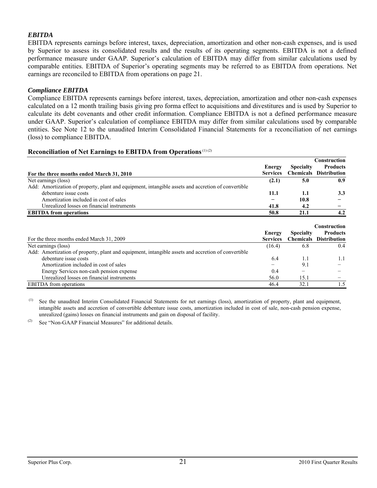### *EBITDA*

EBITDA represents earnings before interest, taxes, depreciation, amortization and other non-cash expenses, and is used by Superior to assess its consolidated results and the results of its operating segments. EBITDA is not a defined performance measure under GAAP. Superior's calculation of EBITDA may differ from similar calculations used by comparable entities. EBITDA of Superior's operating segments may be referred to as EBITDA from operations. Net earnings are reconciled to EBITDA from operations on page 21.

#### *Compliance EBITDA*

Compliance EBITDA represents earnings before interest, taxes, depreciation, amortization and other non-cash expenses calculated on a 12 month trailing basis giving pro forma effect to acquisitions and divestitures and is used by Superior to calculate its debt covenants and other credit information. Compliance EBITDA is not a defined performance measure under GAAP. Superior's calculation of compliance EBITDA may differ from similar calculations used by comparable entities. See Note 12 to the unaudited Interim Consolidated Financial Statements for a reconciliation of net earnings (loss) to compliance EBITDA.

#### **Reconciliation of Net Earnings to EBITDA from Operations** (1) (2)

|                                                                                                    |                 |                  | Construction        |
|----------------------------------------------------------------------------------------------------|-----------------|------------------|---------------------|
|                                                                                                    | Energy          | <b>Specialty</b> | <b>Products</b>     |
| For the three months ended March 31, 2010                                                          | <b>Services</b> | <b>Chemicals</b> | <b>Distribution</b> |
| Net earnings (loss)                                                                                | (2.1)           | 5.0              | 0.9                 |
| Add: Amortization of property, plant and equipment, intangible assets and accretion of convertible |                 |                  |                     |
| debenture issue costs                                                                              | 11.1            | 1.1              | 3.3                 |
| Amortization included in cost of sales                                                             |                 | 10.8             |                     |
| Unrealized losses on financial instruments                                                         | 41.8            | 4.2              |                     |
|                                                                                                    | 50.8            | 21.1             | 4.2                 |
| <b>EBITDA</b> from operations                                                                      |                 |                  |                     |
|                                                                                                    |                 |                  |                     |
|                                                                                                    |                 |                  | <b>Construction</b> |
|                                                                                                    | Energy          | <b>Specialty</b> | <b>Products</b>     |
| For the three months ended March 31, 2009                                                          | <b>Services</b> | <b>Chemicals</b> | <b>Distribution</b> |
| Net earnings (loss)                                                                                | (16.4)          | 6.8              | 0.4                 |
| Add: Amortization of property, plant and equipment, intangible assets and accretion of convertible |                 |                  |                     |
| debenture issue costs                                                                              | 6.4             | 1.1              | 1.1                 |
| Amortization included in cost of sales                                                             |                 | 9.1              |                     |
| Energy Services non-cash pension expense                                                           | 0.4             |                  |                     |
| Unrealized losses on financial instruments                                                         | 56.0            | 15.1             |                     |

 (1) See the unaudited Interim Consolidated Financial Statements for net earnings (loss), amortization of property, plant and equipment, intangible assets and accretion of convertible debenture issue costs, amortization included in cost of sale, non-cash pension expense, unrealized (gains) losses on financial instruments and gain on disposal of facility.

(2) See "Non-GAAP Financial Measures" for additional details.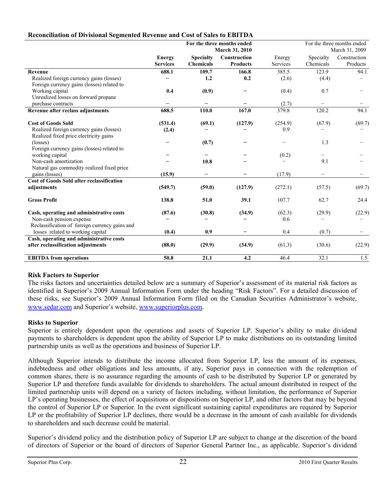| Reconcination of Divisional Segmented Revenue and Cost of Sales to EDITDA |                 |                  |                            |          |                          |                            |
|---------------------------------------------------------------------------|-----------------|------------------|----------------------------|----------|--------------------------|----------------------------|
|                                                                           |                 |                  | For the three months ended |          |                          | For the three months ended |
|                                                                           |                 |                  | March 31, 2010             |          | March 31, 2009           |                            |
|                                                                           | <b>Energy</b>   | <b>Specialty</b> | Construction               | Energy   | Specialty                | Construction               |
|                                                                           | <b>Services</b> | <b>Chemicals</b> | <b>Products</b>            | Services | Chemicals                | Products                   |
| Revenue                                                                   | 688.1           | 109.7            | 166.8                      | 385.5    | 123.9                    | 94.1                       |
| Realized foreign currency gains (losses)                                  |                 | 1.2              | 0.2                        | (2.6)    | (4.4)                    |                            |
| Foreign currency gains (losses) related to                                |                 |                  |                            |          |                          |                            |
| Working capital                                                           | 0.4             | (0.9)            |                            | (0.4)    | 0.7                      |                            |
| Unrealized losses on forward propane                                      |                 |                  |                            |          |                          |                            |
| purchase contracts                                                        | —               | -                |                            | (2.7)    | $\qquad \qquad -$        |                            |
| Revenue after reclass adjustments                                         | 688.5           | 110.0            | 167.0                      | 379.8    | 120.2                    | 94.1                       |
| <b>Cost of Goods Sold</b>                                                 | (531.4)         | (69.1)           | (127.9)                    | (254.9)  | (67.9)                   | (69.7)                     |
| Realized foreign currency gains (losses)                                  | (2.4)           |                  |                            | 0.9      |                          |                            |
| Realized fixed price electricity gains                                    |                 |                  |                            |          |                          |                            |
| (losses)                                                                  |                 | (0.7)            |                            |          | 1.3                      |                            |
| Foreign currency gains (losses) related to                                |                 |                  |                            |          |                          |                            |
| working capital                                                           |                 |                  |                            | (0.2)    | $\overline{\phantom{0}}$ |                            |
| Non-cash amortization                                                     |                 | 10.8             |                            |          | 9.1                      |                            |
| Natural gas commodity realized fixed price                                |                 |                  |                            |          |                          |                            |
| gains (losses)                                                            | (15.9)          | -                |                            | (17.9)   | $\overline{\phantom{0}}$ |                            |
| <b>Cost of Goods Sold after reclassification</b>                          |                 |                  |                            |          |                          |                            |
| adjustments                                                               | (549.7)         | (59.0)           | (127.9)                    | (272.1)  | (57.5)                   | (69.7)                     |
| <b>Gross Profit</b>                                                       | 138.8           | 51.0             | 39.1                       | 107.7    | 62.7                     | 24.4                       |
| Cash, operating and administrative costs                                  | (87.6)          | (30.8)           | (34.9)                     | (62.3)   | (29.9)                   | (22.9)                     |
| Non-cash pension expense                                                  |                 |                  |                            | 0.6      |                          |                            |
| Reclassification of foreign currency gains and                            |                 |                  |                            |          |                          |                            |
| losses related to working capital                                         | (0.4)           | 0.9              |                            | 0.4      | (0.7)                    |                            |
| Cash, operating and administrative costs                                  |                 |                  |                            |          |                          |                            |
| after reclassification adjustments                                        | (88.0)          | (29.9)           | (34.9)                     | (61.3)   | (30.6)                   | (22.9)                     |
| <b>EBITDA</b> from operations                                             | 50.8            | 21.1             | 4.2                        | 46.4     | 32.1                     | 1.5                        |

### **Reconciliation of Divisional Segmented Revenue and Cost of Sales to EBITDA**

### **Risk Factors to Superior**

The risks factors and uncertainties detailed below are a summary of Superior's assessment of its material risk factors as identified in Superior's 2009 Annual Information Form under the heading "Risk Factors". For a detailed discussion of these risks, see Superior's 2009 Annual Information Form filed on the Canadian Securities Administrator's website, www.sedar.com and Superior's website, www.superiorplus.com.

### **Risks to Superior**

Superior is entirely dependent upon the operations and assets of Superior LP. Superior's ability to make dividend payments to shareholders is dependent upon the ability of Superior LP to make distributions on its outstanding limited partnership units as well as the operations and business of Superior LP.

Although Superior intends to distribute the income allocated from Superior LP, less the amount of its expenses, indebtedness and other obligations and less amounts, if any, Superior pays in connection with the redemption of common shares, there is no assurance regarding the amounts of cash to be distributed by Superior LP or generated by Superior LP and therefore funds available for dividends to shareholders. The actual amount distributed in respect of the limited partnership units will depend on a variety of factors including, without limitation, the performance of Superior LP's operating businesses, the effect of acquisitions or dispositions on Superior LP, and other factors that may be beyond the control of Superior LP or Superior. In the event significant sustaining capital expenditures are required by Superior LP or the profitability of Superior LP declines, there would be a decrease in the amount of cash available for dividends to shareholders and such decrease could be material.

Superior's dividend policy and the distribution policy of Superior LP are subject to change at the discretion of the board of directors of Superior or the board of directors of Superior General Partner Inc., as applicable. Superior's dividend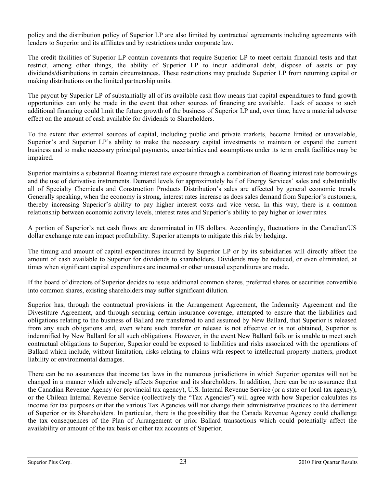policy and the distribution policy of Superior LP are also limited by contractual agreements including agreements with lenders to Superior and its affiliates and by restrictions under corporate law.

The credit facilities of Superior LP contain covenants that require Superior LP to meet certain financial tests and that restrict, among other things, the ability of Superior LP to incur additional debt, dispose of assets or pay dividends/distributions in certain circumstances. These restrictions may preclude Superior LP from returning capital or making distributions on the limited partnership units.

The payout by Superior LP of substantially all of its available cash flow means that capital expenditures to fund growth opportunities can only be made in the event that other sources of financing are available. Lack of access to such additional financing could limit the future growth of the business of Superior LP and, over time, have a material adverse effect on the amount of cash available for dividends to Shareholders.

To the extent that external sources of capital, including public and private markets, become limited or unavailable, Superior's and Superior LP's ability to make the necessary capital investments to maintain or expand the current business and to make necessary principal payments, uncertainties and assumptions under its term credit facilities may be impaired.

Superior maintains a substantial floating interest rate exposure through a combination of floating interest rate borrowings and the use of derivative instruments. Demand levels for approximately half of Energy Services' sales and substantially all of Specialty Chemicals and Construction Products Distribution's sales are affected by general economic trends. Generally speaking, when the economy is strong, interest rates increase as does sales demand from Superior's customers, thereby increasing Superior's ability to pay higher interest costs and vice versa. In this way, there is a common relationship between economic activity levels, interest rates and Superior's ability to pay higher or lower rates.

A portion of Superior's net cash flows are denominated in US dollars. Accordingly, fluctuations in the Canadian/US dollar exchange rate can impact profitability. Superior attempts to mitigate this risk by hedging.

The timing and amount of capital expenditures incurred by Superior LP or by its subsidiaries will directly affect the amount of cash available to Superior for dividends to shareholders. Dividends may be reduced, or even eliminated, at times when significant capital expenditures are incurred or other unusual expenditures are made.

If the board of directors of Superior decides to issue additional common shares, preferred shares or securities convertible into common shares, existing shareholders may suffer significant dilution.

Superior has, through the contractual provisions in the Arrangement Agreement, the Indemnity Agreement and the Divestiture Agreement, and through securing certain insurance coverage, attempted to ensure that the liabilities and obligations relating to the business of Ballard are transferred to and assumed by New Ballard, that Superior is released from any such obligations and, even where such transfer or release is not effective or is not obtained, Superior is indemnified by New Ballard for all such obligations. However, in the event New Ballard fails or is unable to meet such contractual obligations to Superior, Superior could be exposed to liabilities and risks associated with the operations of Ballard which include, without limitation, risks relating to claims with respect to intellectual property matters, product liability or environmental damages.

There can be no assurances that income tax laws in the numerous jurisdictions in which Superior operates will not be changed in a manner which adversely affects Superior and its shareholders. In addition, there can be no assurance that the Canadian Revenue Agency (or provincial tax agency), U.S. Internal Revenue Service (or a state or local tax agency), or the Chilean Internal Revenue Service (collectively the "Tax Agencies") will agree with how Superior calculates its income for tax purposes or that the various Tax Agencies will not change their administrative practices to the detriment of Superior or its Shareholders. In particular, there is the possibility that the Canada Revenue Agency could challenge the tax consequences of the Plan of Arrangement or prior Ballard transactions which could potentially affect the availability or amount of the tax basis or other tax accounts of Superior.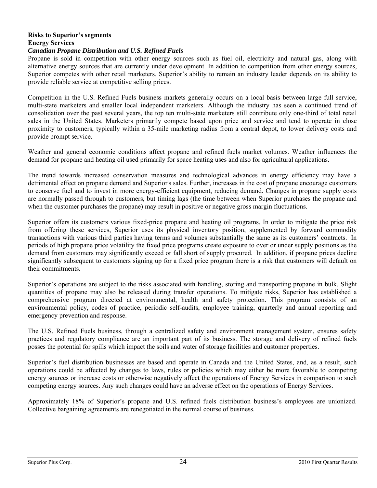### **Risks to Superior's segments Energy Services**

#### *Canadian Propane Distribution and U.S. Refined Fuels*

Propane is sold in competition with other energy sources such as fuel oil, electricity and natural gas, along with alternative energy sources that are currently under development. In addition to competition from other energy sources, Superior competes with other retail marketers. Superior's ability to remain an industry leader depends on its ability to provide reliable service at competitive selling prices.

Competition in the U.S. Refined Fuels business markets generally occurs on a local basis between large full service, multi-state marketers and smaller local independent marketers. Although the industry has seen a continued trend of consolidation over the past several years, the top ten multi-state marketers still contribute only one-third of total retail sales in the United States. Marketers primarily compete based upon price and service and tend to operate in close proximity to customers, typically within a 35-mile marketing radius from a central depot, to lower delivery costs and provide prompt service.

Weather and general economic conditions affect propane and refined fuels market volumes. Weather influences the demand for propane and heating oil used primarily for space heating uses and also for agricultural applications.

The trend towards increased conservation measures and technological advances in energy efficiency may have a detrimental effect on propane demand and Superior's sales. Further, increases in the cost of propane encourage customers to conserve fuel and to invest in more energy-efficient equipment, reducing demand. Changes in propane supply costs are normally passed through to customers, but timing lags (the time between when Superior purchases the propane and when the customer purchases the propane) may result in positive or negative gross margin fluctuations.

Superior offers its customers various fixed-price propane and heating oil programs. In order to mitigate the price risk from offering these services, Superior uses its physical inventory position, supplemented by forward commodity transactions with various third parties having terms and volumes substantially the same as its customers' contracts. In periods of high propane price volatility the fixed price programs create exposure to over or under supply positions as the demand from customers may significantly exceed or fall short of supply procured. In addition, if propane prices decline significantly subsequent to customers signing up for a fixed price program there is a risk that customers will default on their commitments.

Superior's operations are subject to the risks associated with handling, storing and transporting propane in bulk. Slight quantities of propane may also be released during transfer operations. To mitigate risks, Superior has established a comprehensive program directed at environmental, health and safety protection. This program consists of an environmental policy, codes of practice, periodic self-audits, employee training, quarterly and annual reporting and emergency prevention and response.

The U.S. Refined Fuels business, through a centralized safety and environment management system, ensures safety practices and regulatory compliance are an important part of its business. The storage and delivery of refined fuels posses the potential for spills which impact the soils and water of storage facilities and customer properties.

Superior's fuel distribution businesses are based and operate in Canada and the United States, and, as a result, such operations could be affected by changes to laws, rules or policies which may either be more favorable to competing energy sources or increase costs or otherwise negatively affect the operations of Energy Services in comparison to such competing energy sources. Any such changes could have an adverse effect on the operations of Energy Services.

Approximately 18% of Superior's propane and U.S. refined fuels distribution business's employees are unionized. Collective bargaining agreements are renegotiated in the normal course of business.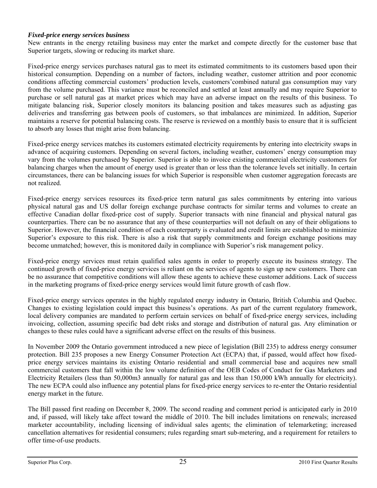#### *Fixed-price energy services business*

New entrants in the energy retailing business may enter the market and compete directly for the customer base that Superior targets, slowing or reducing its market share.

Fixed-price energy services purchases natural gas to meet its estimated commitments to its customers based upon their historical consumption. Depending on a number of factors, including weather, customer attrition and poor economic conditions affecting commercial customers' production levels, customers'combined natural gas consumption may vary from the volume purchased. This variance must be reconciled and settled at least annually and may require Superior to purchase or sell natural gas at market prices which may have an adverse impact on the results of this business. To mitigate balancing risk, Superior closely monitors its balancing position and takes measures such as adjusting gas deliveries and transferring gas between pools of customers, so that imbalances are minimized. In addition, Superior maintains a reserve for potential balancing costs. The reserve is reviewed on a monthly basis to ensure that it is sufficient to absorb any losses that might arise from balancing.

Fixed-price energy services matches its customers estimated electricity requirements by entering into electricity swaps in advance of acquiring customers. Depending on several factors, including weather, customers' energy consumption may vary from the volumes purchased by Superior. Superior is able to invoice existing commercial electricity customers for balancing charges when the amount of energy used is greater than or less than the tolerance levels set initially. In certain circumstances, there can be balancing issues for which Superior is responsible when customer aggregation forecasts are not realized.

Fixed-price energy services resources its fixed-price term natural gas sales commitments by entering into various physical natural gas and US dollar foreign exchange purchase contracts for similar terms and volumes to create an effective Canadian dollar fixed-price cost of supply. Superior transacts with nine financial and physical natural gas counterparties. There can be no assurance that any of these counterparties will not default on any of their obligations to Superior. However, the financial condition of each counterparty is evaluated and credit limits are established to minimize Superior's exposure to this risk. There is also a risk that supply commitments and foreign exchange positions may become unmatched; however, this is monitored daily in compliance with Superior's risk management policy.

Fixed-price energy services must retain qualified sales agents in order to properly execute its business strategy. The continued growth of fixed-price energy services is reliant on the services of agents to sign up new customers. There can be no assurance that competitive conditions will allow these agents to achieve these customer additions. Lack of success in the marketing programs of fixed-price energy services would limit future growth of cash flow.

Fixed-price energy services operates in the highly regulated energy industry in Ontario, British Columbia and Quebec. Changes to existing legislation could impact this business's operations. As part of the current regulatory framework, local delivery companies are mandated to perform certain services on behalf of fixed-price energy services, including invoicing, collection, assuming specific bad debt risks and storage and distribution of natural gas. Any elimination or changes to these rules could have a significant adverse effect on the results of this business.

In November 2009 the Ontario government introduced a new piece of legislation (Bill 235) to address energy consumer protection. Bill 235 proposes a new Energy Consumer Protection Act (ECPA) that, if passed, would affect how fixedprice energy services maintains its existing Ontario residential and small commercial base and acquires new small commercial customers that fall within the low volume definition of the OEB Codes of Conduct for Gas Marketers and Electricity Retailers (less than 50,000m3 annually for natural gas and less than 150,000 kWh annually for electricity). The new ECPA could also influence any potential plans for fixed-price energy services to re-enter the Ontario residential energy market in the future.

The Bill passed first reading on December 8, 2009. The second reading and comment period is anticipated early in 2010 and, if passed, will likely take affect toward the middle of 2010. The bill includes limitations on renewals; increased marketer accountability, including licensing of individual sales agents; the elimination of telemarketing; increased cancellation alternatives for residential consumers; rules regarding smart sub-metering, and a requirement for retailers to offer time-of-use products.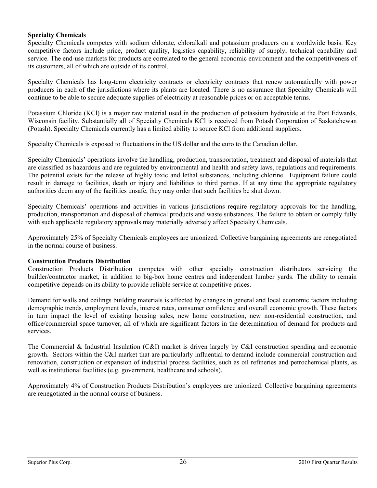#### **Specialty Chemicals**

Specialty Chemicals competes with sodium chlorate, chloralkali and potassium producers on a worldwide basis. Key competitive factors include price, product quality, logistics capability, reliability of supply, technical capability and service. The end-use markets for products are correlated to the general economic environment and the competitiveness of its customers, all of which are outside of its control.

Specialty Chemicals has long-term electricity contracts or electricity contracts that renew automatically with power producers in each of the jurisdictions where its plants are located. There is no assurance that Specialty Chemicals will continue to be able to secure adequate supplies of electricity at reasonable prices or on acceptable terms.

Potassium Chloride (KCl) is a major raw material used in the production of potassium hydroxide at the Port Edwards, Wisconsin facility. Substantially all of Specialty Chemicals KCl is received from Potash Corporation of Saskatchewan (Potash). Specialty Chemicals currently has a limited ability to source KCl from additional suppliers.

Specialty Chemicals is exposed to fluctuations in the US dollar and the euro to the Canadian dollar.

Specialty Chemicals' operations involve the handling, production, transportation, treatment and disposal of materials that are classified as hazardous and are regulated by environmental and health and safety laws, regulations and requirements. The potential exists for the release of highly toxic and lethal substances, including chlorine. Equipment failure could result in damage to facilities, death or injury and liabilities to third parties. If at any time the appropriate regulatory authorities deem any of the facilities unsafe, they may order that such facilities be shut down.

Specialty Chemicals' operations and activities in various jurisdictions require regulatory approvals for the handling, production, transportation and disposal of chemical products and waste substances. The failure to obtain or comply fully with such applicable regulatory approvals may materially adversely affect Specialty Chemicals.

Approximately 25% of Specialty Chemicals employees are unionized. Collective bargaining agreements are renegotiated in the normal course of business.

### **Construction Products Distribution**

Construction Products Distribution competes with other specialty construction distributors servicing the builder/contractor market, in addition to big-box home centres and independent lumber yards. The ability to remain competitive depends on its ability to provide reliable service at competitive prices.

Demand for walls and ceilings building materials is affected by changes in general and local economic factors including demographic trends, employment levels, interest rates, consumer confidence and overall economic growth. These factors in turn impact the level of existing housing sales, new home construction, new non-residential construction, and office/commercial space turnover, all of which are significant factors in the determination of demand for products and services.

The Commercial & Industrial Insulation (C&I) market is driven largely by C&I construction spending and economic growth. Sectors within the C&I market that are particularly influential to demand include commercial construction and renovation, construction or expansion of industrial process facilities, such as oil refineries and petrochemical plants, as well as institutional facilities (e.g. government, healthcare and schools).

Approximately 4% of Construction Products Distribution's employees are unionized. Collective bargaining agreements are renegotiated in the normal course of business.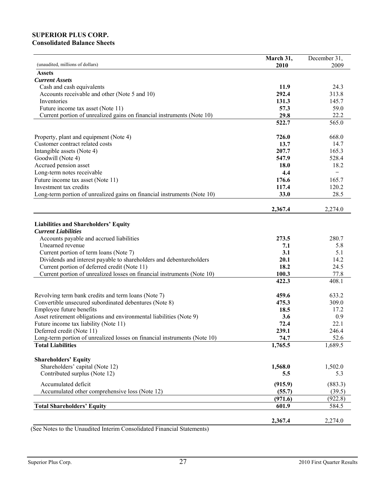### **SUPERIOR PLUS CORP. Consolidated Balance Sheets**

|                                                                                                               | March 31,      | December 31, |
|---------------------------------------------------------------------------------------------------------------|----------------|--------------|
| (unaudited, millions of dollars)                                                                              | 2010           | 2009         |
| <b>Assets</b>                                                                                                 |                |              |
| <b>Current Assets</b>                                                                                         |                |              |
| Cash and cash equivalents                                                                                     | 11.9           | 24.3         |
| Accounts receivable and other (Note 5 and 10)                                                                 | 292.4          | 313.8        |
| Inventories                                                                                                   | 131.3          | 145.7        |
| Future income tax asset (Note 11)                                                                             | 57.3           | 59.0         |
| Current portion of unrealized gains on financial instruments (Note 10)                                        | 29.8           | 22.2         |
|                                                                                                               | 522.7          | 565.0        |
|                                                                                                               |                | 668.0        |
| Property, plant and equipment (Note 4)<br>Customer contract related costs                                     | 726.0<br>13.7  | 14.7         |
| Intangible assets (Note 4)                                                                                    | 207.7          | 165.3        |
| Goodwill (Note 4)                                                                                             | 547.9          | 528.4        |
| Accrued pension asset                                                                                         | 18.0           | 18.2         |
| Long-term notes receivable                                                                                    | 4.4            | $\equiv$     |
| Future income tax asset (Note 11)                                                                             | 176.6          | 165.7        |
| Investment tax credits                                                                                        | 117.4          | 120.2        |
| Long-term portion of unrealized gains on financial instruments (Note 10)                                      | 33.0           | 28.5         |
|                                                                                                               |                |              |
|                                                                                                               | 2,367.4        | 2,274.0      |
|                                                                                                               |                |              |
| <b>Liabilities and Shareholders' Equity</b>                                                                   |                |              |
| <b>Current Liabilities</b>                                                                                    |                |              |
| Accounts payable and accrued liabilities                                                                      | 273.5          | 280.7        |
| Unearned revenue                                                                                              | 7.1            | 5.8          |
| Current portion of term loans (Note 7)                                                                        | 3.1            | 5.1          |
| Dividends and interest payable to shareholders and debentureholders                                           | 20.1           | 14.2         |
| Current portion of deferred credit (Note 11)                                                                  | 18.2           | 24.5         |
| Current portion of unrealized losses on financial instruments (Note 10)                                       | 100.3          | 77.8         |
|                                                                                                               | 422.3          | 408.1        |
|                                                                                                               |                | 633.2        |
| Revolving term bank credits and term loans (Note 7)<br>Convertible unsecured subordinated debentures (Note 8) | 459.6<br>475.3 | 309.0        |
| Employee future benefits                                                                                      | 18.5           | 17.2         |
| Asset retirement obligations and environmental liabilities (Note 9)                                           | 3.6            | 0.9          |
| Future income tax liability (Note 11)                                                                         | 72.4           | 22.1         |
| Deferred credit (Note 11)                                                                                     | 239.1          | 246.4        |
| Long-term portion of unrealized losses on financial instruments (Note 10)                                     | 74.7           | 52.6         |
| <b>Total Liabilities</b>                                                                                      | 1,765.5        | 1,689.5      |
|                                                                                                               |                |              |
| <b>Shareholders' Equity</b>                                                                                   |                |              |
| Shareholders' capital (Note 12)                                                                               | 1,568.0        | 1,502.0      |
| Contributed surplus (Note 12)                                                                                 | 5.5            | 5.3          |
| Accumulated deficit                                                                                           | (915.9)        | (883.3)      |
| Accumulated other comprehensive loss (Note 12)                                                                | (55.7)         | (39.5)       |
|                                                                                                               | (971.6)        | (922.8)      |
| <b>Total Shareholders' Equity</b>                                                                             | 601.9          | 584.5        |
|                                                                                                               |                |              |
|                                                                                                               | 2,367.4        | 2,274.0      |

(See Notes to the Unaudited Interim Consolidated Financial Statements)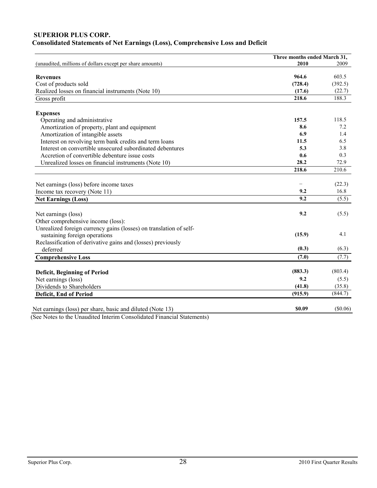### **SUPERIOR PLUS CORP. Consolidated Statements of Net Earnings (Loss), Comprehensive Loss and Deficit**

|                                                                    | Three months ended March 31, |          |
|--------------------------------------------------------------------|------------------------------|----------|
| (unaudited, millions of dollars except per share amounts)          | 2010                         | 2009     |
|                                                                    |                              |          |
| <b>Revenues</b>                                                    | 964.6                        | 603.5    |
| Cost of products sold                                              | (728.4)                      | (392.5)  |
| Realized losses on financial instruments (Note 10)                 | (17.6)                       | (22.7)   |
| Gross profit                                                       | 218.6                        | 188.3    |
| <b>Expenses</b>                                                    |                              |          |
| Operating and administrative                                       | 157.5                        | 118.5    |
| Amortization of property, plant and equipment                      | 8.6                          | 7.2      |
| Amortization of intangible assets                                  | 6.9                          | 1.4      |
| Interest on revolving term bank credits and term loans             | 11.5                         | 6.5      |
| Interest on convertible unsecured subordinated debentures          | 5.3                          | 3.8      |
| Accretion of convertible debenture issue costs                     | 0.6                          | 0.3      |
| Unrealized losses on financial instruments (Note 10)               | 28.2                         | 72.9     |
|                                                                    | 218.6                        | 210.6    |
|                                                                    |                              |          |
| Net earnings (loss) before income taxes                            |                              | (22.3)   |
| Income tax recovery (Note 11)                                      | 9.2                          | 16.8     |
| <b>Net Earnings (Loss)</b>                                         | 9.2                          | (5.5)    |
| Net earnings (loss)                                                | 9.2                          | (5.5)    |
| Other comprehensive income (loss):                                 |                              |          |
| Unrealized foreign currency gains (losses) on translation of self- |                              |          |
| sustaining foreign operations                                      | (15.9)                       | 4.1      |
| Reclassification of derivative gains and (losses) previously       |                              |          |
| deferred                                                           | (0.3)                        | (6.3)    |
| <b>Comprehensive Loss</b>                                          | (7.0)                        | (7.7)    |
|                                                                    |                              |          |
| <b>Deficit, Beginning of Period</b>                                | (883.3)                      | (803.4)  |
| Net earnings (loss)                                                | 9.2                          | (5.5)    |
| Dividends to Shareholders                                          | (41.8)                       | (35.8)   |
| Deficit, End of Period                                             | (915.9)                      | (844.7)  |
| Net earnings (loss) per share, basic and diluted (Note 13)         | \$0.09                       | (\$0.06) |
|                                                                    |                              |          |

(See Notes to the Unaudited Interim Consolidated Financial Statements)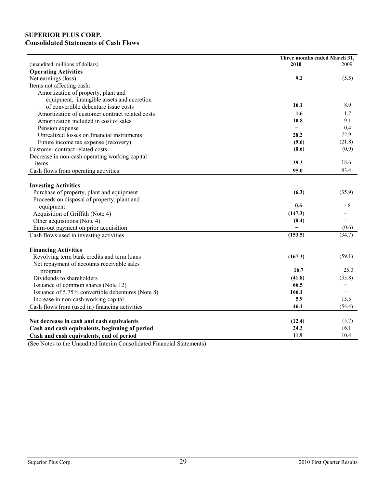### **SUPERIOR PLUS CORP. Consolidated Statements of Cash Flows**

|                                                   | Three months ended March 31, |        |
|---------------------------------------------------|------------------------------|--------|
| (unaudited, millions of dollars)                  | 2010                         | 2009   |
| <b>Operating Activities</b>                       |                              |        |
| Net earnings (loss)                               | 9.2                          | (5.5)  |
| Items not affecting cash:                         |                              |        |
| Amortization of property, plant and               |                              |        |
| equipment, intangible assets and accretion        |                              |        |
| of convertible debenture issue costs              | 16.1                         | 8.9    |
| Amortization of customer contract related costs   | 1.6                          | 1.7    |
| Amortization included in cost of sales            | 10.8                         | 9.1    |
| Pension expense                                   | $\overline{\phantom{0}}$     | 0.4    |
| Unrealized losses on financial instruments        | 28.2                         | 72.9   |
| Future income tax expense (recovery)              | (9.6)                        | (21.8) |
| Customer contract related costs                   | (0.6)                        | (0.9)  |
| Decrease in non-cash operating working capital    |                              |        |
| items                                             | 39.3                         | 18.6   |
| Cash flows from operating activities              | 95.0                         | 83.4   |
|                                                   |                              |        |
| <b>Investing Activities</b>                       |                              |        |
| Purchase of property, plant and equipment         | (6.3)                        | (35.9) |
| Proceeds on disposal of property, plant and       |                              |        |
| equipment                                         | 0.5                          | 1.8    |
| Acquisition of Griffith (Note 4)                  | (147.3)                      |        |
| Other acquisitions (Note 4)                       | (0.4)                        |        |
| Earn-out payment on prior acquisition             |                              | (0.6)  |
| Cash flows used in investing activities           | (153.5)                      | (34.7) |
|                                                   |                              |        |
| <b>Financing Activities</b>                       |                              |        |
| Revolving term bank credits and term loans        | (167.3)                      | (59.1) |
| Net repayment of accounts receivable sales        |                              |        |
| program                                           | 16.7                         | 25.0   |
| Dividends to shareholders                         | (41.8)                       | (35.8) |
| Issuance of common shares (Note 12)               | 66.5                         | -      |
| Issuance of 5.75% convertible debentures (Note 8) | 166.1                        |        |
| Increase in non-cash working capital              | 5.9                          | 15.5   |
| Cash flows from (used in) financing activities    | 46.1                         | (54.4) |
|                                                   |                              |        |
| Net decrease in cash and cash equivalents         | (12.4)                       | (5.7)  |
| Cash and cash equivalents, beginning of period    | 24.3                         | 16.1   |
| Cash and cash equivalents, end of period          | 11.9                         | 10.4   |

(See Notes to the Unaudited Interim Consolidated Financial Statements)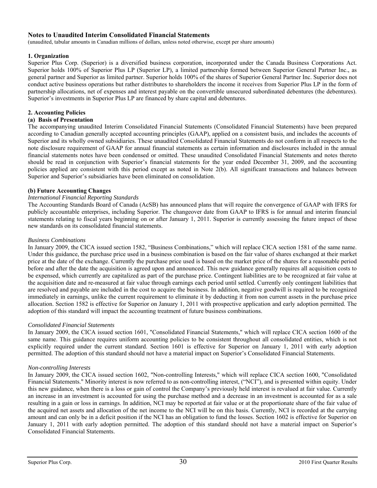#### **Notes to Unaudited Interim Consolidated Financial Statements**

(unaudited, tabular amounts in Canadian millions of dollars, unless noted otherwise, except per share amounts)

#### **1. Organization**

Superior Plus Corp. (Superior) is a diversified business corporation, incorporated under the Canada Business Corporations Act. Superior holds 100% of Superior Plus LP (Superior LP), a limited partnership formed between Superior General Partner Inc., as general partner and Superior as limited partner. Superior holds 100% of the shares of Superior General Partner Inc. Superior does not conduct active business operations but rather distributes to shareholders the income it receives from Superior Plus LP in the form of partnership allocations, net of expenses and interest payable on the convertible unsecured subordinated debentures (the debentures). Superior's investments in Superior Plus LP are financed by share capital and debentures.

#### **2. Accounting Policies**

#### **(a) Basis of Presentation**

The accompanying unaudited Interim Consolidated Financial Statements (Consolidated Financial Statements) have been prepared according to Canadian generally accepted accounting principles (GAAP), applied on a consistent basis, and includes the accounts of Superior and its wholly owned subsidiaries. These unaudited Consolidated Financial Statements do not conform in all respects to the note disclosure requirement of GAAP for annual financial statements as certain information and disclosures included in the annual financial statements notes have been condensed or omitted. These unaudited Consolidated Financial Statements and notes thereto should be read in conjunction with Superior's financial statements for the year ended December 31, 2009, and the accounting policies applied are consistent with this period except as noted in Note 2(b). All significant transactions and balances between Superior and Superior's subsidiaries have been eliminated on consolidation.

#### **(b) Future Accounting Changes**

#### *International Financial Reporting Standards*

The Accounting Standards Board of Canada (AcSB) has announced plans that will require the convergence of GAAP with IFRS for publicly accountable enterprises, including Superior. The changeover date from GAAP to IFRS is for annual and interim financial statements relating to fiscal years beginning on or after January 1, 2011. Superior is currently assessing the future impact of these new standards on its consolidated financial statements.

#### *Business Combinations*

In January 2009, the CICA issued section 1582, "Business Combinations," which will replace CICA section 1581 of the same name. Under this guidance, the purchase price used in a business combination is based on the fair value of shares exchanged at their market price at the date of the exchange. Currently the purchase price used is based on the market price of the shares for a reasonable period before and after the date the acquisition is agreed upon and announced. This new guidance generally requires all acquisition costs to be expensed, which currently are capitalized as part of the purchase price. Contingent liabilities are to be recognized at fair value at the acquisition date and re-measured at fair value through earnings each period until settled. Currently only contingent liabilities that are resolved and payable are included in the cost to acquire the business. In addition, negative goodwill is required to be recognized immediately in earnings, unlike the current requirement to eliminate it by deducting it from non current assets in the purchase price allocation. Section 1582 is effective for Superior on January 1, 2011 with prospective application and early adoption permitted. The adoption of this standard will impact the accounting treatment of future business combinations.

#### *Consolidated Financial Statements*

In January 2009, the CICA issued section 1601, "Consolidated Financial Statements," which will replace CICA section 1600 of the same name. This guidance requires uniform accounting policies to be consistent throughout all consolidated entities, which is not explicitly required under the current standard. Section 1601 is effective for Superior on January 1, 2011 with early adoption permitted. The adoption of this standard should not have a material impact on Superior's Consolidated Financial Statements.

#### *Non-controlling Interests*

In January 2009, the CICA issued section 1602, "Non-controlling Interests," which will replace CICA section 1600, "Consolidated Financial Statements." Minority interest is now referred to as non-controlling interest, ("NCI"), and is presented within equity. Under this new guidance, when there is a loss or gain of control the Company's previously held interest is revalued at fair value. Currently an increase in an investment is accounted for using the purchase method and a decrease in an investment is accounted for as a sale resulting in a gain or loss in earnings. In addition, NCI may be reported at fair value or at the proportionate share of the fair value of the acquired net assets and allocation of the net income to the NCI will be on this basis. Currently, NCI is recorded at the carrying amount and can only be in a deficit position if the NCI has an obligation to fund the losses. Section 1602 is effective for Superior on January 1, 2011 with early adoption permitted. The adoption of this standard should not have a material impact on Superior's Consolidated Financial Statements.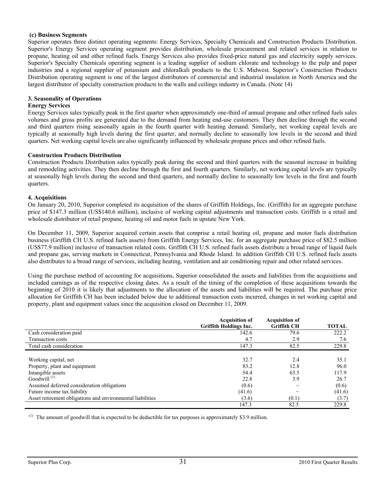#### **(c) Business Segments**

Superior operates three distinct operating segments: Energy Services, Specialty Chemicals and Construction Products Distribution. Superior's Energy Services operating segment provides distribution, wholesale procurement and related services in relation to propane, heating oil and other refined fuels. Energy Services also provides fixed-price natural gas and electricity supply services. Superior's Specialty Chemicals operating segment is a leading supplier of sodium chlorate and technology to the pulp and paper industries and a regional supplier of potassium and chloralkali products to the U.S. Midwest. Superior's Construction Products Distribution operating segment is one of the largest distributors of commercial and industrial insulation in North America and the largest distributor of specialty construction products to the walls and ceilings industry in Canada. (Note 14)

#### **3. Seasonality of Operations**

#### **Energy Services**

Energy Services sales typically peak in the first quarter when approximately one-third of annual propane and other refined fuels sales volumes and gross profits are generated due to the demand from heating end-use customers. They then decline through the second and third quarters rising seasonally again in the fourth quarter with heating demand. Similarly, net working capital levels are typically at seasonally high levels during the first quarter, and normally decline to seasonally low levels in the second and third quarters. Net working capital levels are also significantly influenced by wholesale propane prices and other refined fuels.

#### **Construction Products Distribution**

Construction Products Distribution sales typically peak during the second and third quarters with the seasonal increase in building and remodeling activities. They then decline through the first and fourth quarters. Similarly, net working capital levels are typically at seasonally high levels during the second and third quarters, and normally decline to seasonally low levels in the first and fourth quarters.

#### **4. Acquisitions**

On January 20, 2010, Superior completed its acquisition of the shares of Griffith Holdings, Inc. (Griffith) for an aggregate purchase price of \$147.3 million (US\$140.6 million), inclusive of working capital adjustments and transaction costs. Griffith is a retail and wholesale distributor of retail propane, heating oil and motor fuels in upstate New York.

On December 11, 2009, Superior acquired certain assets that comprise a retail heating oil, propane and motor fuels distribution business (Griffith CH U.S. refined fuels assets) from Griffith Energy Services, Inc. for an aggregate purchase price of \$82.5 million (US\$77.9 million) inclusive of transaction related costs. Griffith CH U.S. refined fuels assets distribute a broad range of liquid fuels and propane gas, serving markets in Connecticut, Pennsylvania and Rhode Island. In addition Griffith CH U.S. refined fuels assets also distributes to a broad range of services, including heating, ventilation and air conditioning repair and other related services.

Using the purchase method of accounting for acquisitions, Superior consolidated the assets and liabilities from the acquisitions and included earnings as of the respective closing dates. As a result of the timing of the completion of these acquisitions towards the beginning of 2010 it is likely that adjustments to the allocation of the assets and liabilities will be required. The purchase price allocation for Griffith CH has been included below due to additional transaction costs incurred, changes in net working capital and property, plant and equipment values since the acquisition closed on December 11, 2009.

|                                                            | <b>Acquisition of</b><br><b>Griffith Holdings Inc.</b> | <b>Acquisition of</b><br><b>Griffith CH</b> | <b>TOTAL</b> |
|------------------------------------------------------------|--------------------------------------------------------|---------------------------------------------|--------------|
|                                                            |                                                        |                                             |              |
| Cash consideration paid                                    | 142.6                                                  | 79.6                                        | 222.2        |
| Transaction costs                                          | 4.7                                                    | 2.9                                         | 7.6          |
| Total cash consideration                                   | 147.3                                                  | 82.5                                        | 229.8        |
|                                                            |                                                        |                                             |              |
| Working capital, net                                       | 32.7                                                   | 2.4                                         | 35.1         |
| Property, plant and equipment                              | 83.2                                                   | 12.8                                        | 96.0         |
| Intangible assets                                          | 54.4                                                   | 63.5                                        | 117.9        |
| Goodwill <sup>(1)</sup>                                    | 22.8                                                   | 3.9                                         | 26.7         |
| Assumed deferred consideration obligations                 | (0.6)                                                  |                                             | (0.6)        |
| Future income tax liability                                | (41.6)                                                 |                                             | (41.6)       |
| Asset retirement obligations and environmental liabilities | (3.6)                                                  | (0.1)                                       | (3.7)        |
|                                                            | 147.3                                                  | 82.5                                        | 229.8        |

(1) The amount of goodwill that is expected to be deductible for tax purposes is approximately \$3.9 million.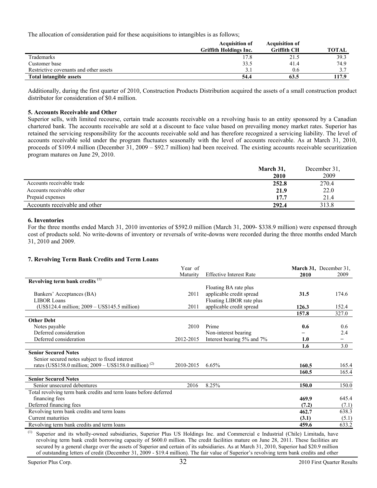The allocation of consideration paid for these acquisitions to intangibles is as follows;

|                                        | <b>Acquisition of</b>         | <b>Acquisition of</b> |              |
|----------------------------------------|-------------------------------|-----------------------|--------------|
|                                        | <b>Griffith Holdings Inc.</b> | <b>Griffith CH</b>    | <b>TOTAL</b> |
| Trademarks                             | 17.8                          | 21.5                  | 39.3         |
| Customer base                          | 33.5                          | 41.4                  | 74.9         |
| Restrictive covenants and other assets |                               | 0.6                   |              |
| Total intangible assets                | 54.4                          | 63.5                  | 117.9        |

Additionally, during the first quarter of 2010, Construction Products Distribution acquired the assets of a small construction product distributor for consideration of \$0.4 million.

#### **5. Accounts Receivable and Other**

Superior sells, with limited recourse, certain trade accounts receivable on a revolving basis to an entity sponsored by a Canadian chartered bank. The accounts receivable are sold at a discount to face value based on prevailing money market rates. Superior has retained the servicing responsibility for the accounts receivable sold and has therefore recognized a servicing liability. The level of accounts receivable sold under the program fluctuates seasonally with the level of accounts receivable. As at March 31, 2010, proceeds of \$109.4 million (December 31, 2009 – \$92.7 million) had been received. The existing accounts receivable securitization program matures on June 29, 2010.

|                               | December 31,<br>March 31, |       |
|-------------------------------|---------------------------|-------|
|                               | 2010                      | 2009  |
| Accounts receivable trade     | 252.8                     | 270.4 |
| Accounts receivable other     | 21.9                      | 22.0  |
| Prepaid expenses              | 17.7                      | 21.4  |
| Accounts receivable and other | 292.4                     | 313.8 |

#### **6. Inventories**

For the three months ended March 31, 2010 inventories of \$592.0 million (March 31, 2009- \$338.9 million) were expensed through cost of products sold. No write-downs of inventory or reversals of write-downs were recorded during the three months ended March 31, 2010 and 2009.

#### **7. Revolving Term Bank Credits and Term Loans**

|                                                                     | Year of   |                                | March 31, December 31, |       |
|---------------------------------------------------------------------|-----------|--------------------------------|------------------------|-------|
|                                                                     | Maturity  | <b>Effective Interest Rate</b> | 2010                   | 2009  |
| Revolving term bank credits <sup>(1)</sup>                          |           |                                |                        |       |
|                                                                     |           | Floating BA rate plus          |                        |       |
| Bankers' Acceptances (BA)                                           | 2011      | applicable credit spread       | 31.5                   | 174.6 |
| <b>LIBOR Loans</b>                                                  |           | Floating LIBOR rate plus       |                        |       |
| (US\$124.4 million; 2009 – US\$145.5 million)                       | 2011      | applicable credit spread       | 126.3                  | 152.4 |
|                                                                     |           |                                | 157.8                  | 327.0 |
| <b>Other Debt</b>                                                   |           |                                |                        |       |
| Notes payable                                                       | 2010      | Prime                          | 0.6                    | 0.6   |
| Deferred consideration                                              |           | Non-interest bearing           |                        | 2.4   |
| Deferred consideration                                              | 2012-2015 | Interest bearing 5% and 7%     | 1.0                    | -     |
|                                                                     |           |                                | 1.6                    | 3.0   |
| <b>Senior Secured Notes</b>                                         |           |                                |                        |       |
| Senior secured notes subject to fixed interest                      |           |                                |                        |       |
| rates (US\$158.0 million; $2009 - US$158.0$ million) <sup>(2)</sup> | 2010-2015 | 6.65%                          | 160.5                  | 165.4 |
|                                                                     |           |                                | 160.5                  | 165.4 |
| <b>Senior Secured Notes</b>                                         |           |                                |                        |       |
| Senior unsecured debentures                                         | 2016      | 8.25%                          | 150.0                  | 150.0 |
| Total revolving term bank credits and term loans before deferred    |           |                                |                        |       |
| financing fees                                                      |           |                                | 469.9                  | 645.4 |
| Deferred financing fees                                             |           |                                | (7.2)                  | (7.1) |
| Revolving term bank credits and term loans                          |           |                                | 462.7                  | 638.3 |
| Current maturities                                                  |           |                                | (3.1)                  | (5.1) |
| Revolving term bank credits and term loans                          |           |                                | 459.6                  | 633.2 |

(1) Superior and its wholly-owned subsidiaries, Superior Plus US Holdings Inc. and Commercial e Industrial (Chile) Limitada, have revolving term bank credit borrowing capacity of \$600.0 million. The credit facilities mature on June 28, 2011. These facilities are secured by a general charge over the assets of Superior and certain of its subsidiaries. As at March 31, 2010, Superior had \$20.9 million of outstanding letters of credit (December 31, 2009 - \$19.4 million). The fair value of Superior's revolving term bank credits and other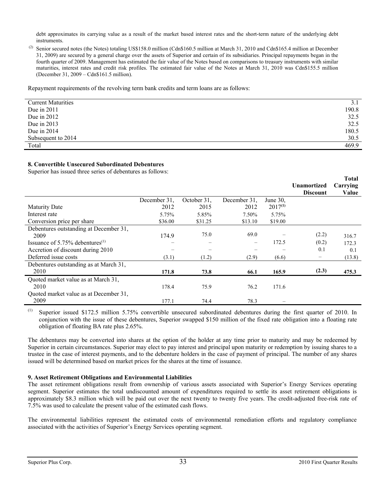debt approximates its carrying value as a result of the market based interest rates and the short-term nature of the underlying debt instruments.

(2) Senior secured notes (the Notes) totaling US\$158.0 million (Cdn\$160.5 million at March 31, 2010 and Cdn\$165.4 million at December 31, 2009) are secured by a general charge over the assets of Superior and certain of its subsidiaries. Principal repayments began in the fourth quarter of 2009. Management has estimated the fair value of the Notes based on comparisons to treasury instruments with similar maturities, interest rates and credit risk profiles. The estimated fair value of the Notes at March 31, 2010 was Cdn\$155.5 million (December 31, 2009 – Cdn\$161.5 million).

Repayment requirements of the revolving term bank credits and term loans are as follows:

| <b>Current Maturities</b> | 3.1   |
|---------------------------|-------|
| Due in $2011$             | 190.8 |
| Due in $2012$             | 32.5  |
| Due in $2013$             | 32.5  |
| Due in $2014$             | 180.5 |
| Subsequent to 2014        | 30.5  |
| Total                     | 469.9 |

#### **8. Convertible Unsecured Subordinated Debentures**

Superior has issued three series of debentures as follows:

|                                                |              |             |              |              | Unamortized<br><b>Discount</b> | <b>Total</b><br>Carrying<br>Value |
|------------------------------------------------|--------------|-------------|--------------|--------------|--------------------------------|-----------------------------------|
|                                                | December 31, | October 31, | December 31. | June $30$ ,  |                                |                                   |
| <b>Maturity Date</b>                           | 2012         | 2015        | 2012         | $2017^{(1)}$ |                                |                                   |
| Interest rate                                  | 5.75%        | 5.85%       | 7.50%        | 5.75%        |                                |                                   |
| Conversion price per share                     | \$36.00      | \$31.25     | \$13.10      | \$19.00      |                                |                                   |
| Debentures outstanding at December 31,         |              |             |              |              |                                |                                   |
| 2009                                           | 174.9        | 75.0        | 69.0         |              | (2.2)                          | 316.7                             |
| Issuance of $5.75\%$ debentures <sup>(1)</sup> |              |             | -            | 172.5        | (0.2)                          | 172.3                             |
| Accretion of discount during 2010              |              |             |              |              | 0.1                            | 0.1                               |
| Deferred issue costs                           | (3.1)        | (1.2)       | (2.9)        | (6.6)        | $\qquad \qquad -$              | (13.8)                            |
| Debentures outstanding as at March 31,         |              |             |              |              |                                |                                   |
| 2010                                           | 171.8        | 73.8        | 66.1         | 165.9        | (2.3)                          | 475.3                             |
| Quoted market value as at March 31,            |              |             |              |              |                                |                                   |
| 2010                                           | 178.4        | 75.9        | 76.2         | 171.6        |                                |                                   |
| Quoted market value as at December 31,         |              |             |              |              |                                |                                   |
| 2009                                           | 177.1        | 74.4        | 78.3         |              |                                |                                   |

 $(1)$  Superior issued \$172.5 million 5.75% convertible unsecured subordinated debentures during the first quarter of 2010. In conjunction with the issue of these debentures, Superior swapped \$150 million of the fixed rate obligation into a floating rate obligation of floating BA rate plus 2.65%.

The debentures may be converted into shares at the option of the holder at any time prior to maturity and may be redeemed by Superior in certain circumstances. Superior may elect to pay interest and principal upon maturity or redemption by issuing shares to a trustee in the case of interest payments, and to the debenture holders in the case of payment of principal. The number of any shares issued will be determined based on market prices for the shares at the time of issuance.

#### **9. Asset Retirement Obligations and Environmental Liabilities**

The asset retirement obligations result from ownership of various assets associated with Superior's Energy Services operating segment. Superior estimates the total undiscounted amount of expenditures required to settle its asset retirement obligations is approximately \$8.3 million which will be paid out over the next twenty to twenty five years. The credit-adjusted free-risk rate of 7.5% was used to calculate the present value of the estimated cash flows.

The environmental liabilities represent the estimated costs of environmental remediation efforts and regulatory compliance associated with the activities of Superior's Energy Services operating segment.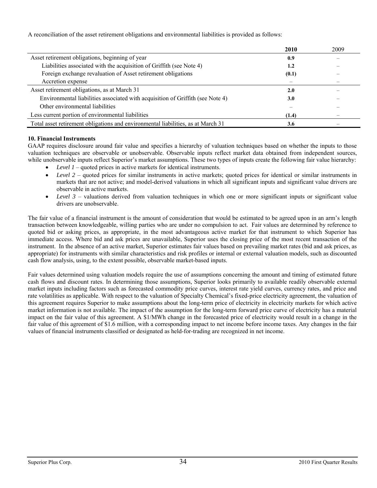A reconciliation of the asset retirement obligations and environmental liabilities is provided as follows:

|                                                                                  | 2010       | 2009 |
|----------------------------------------------------------------------------------|------------|------|
| Asset retirement obligations, beginning of year                                  | 0.9        |      |
| Liabilities associated with the acquisition of Griffith (see Note 4)             | 1.2        |      |
| Foreign exchange revaluation of Asset retirement obligations                     | (0.1)      |      |
| Accretion expense                                                                |            |      |
| Asset retirement obligations, as at March 31                                     | 2.0        |      |
| Environmental liabilities associated with acquisition of Griffith (see Note 4)   | <b>3.0</b> |      |
| Other environmental liabilities                                                  |            |      |
| Less current portion of environmental liabilities                                | (1.4)      |      |
| Total asset retirement obligations and environmental liabilities, as at March 31 | 3.6        |      |

#### **10. Financial Instruments**

GAAP requires disclosure around fair value and specifies a hierarchy of valuation techniques based on whether the inputs to those valuation techniques are observable or unobservable. Observable inputs reflect market data obtained from independent sources, while unobservable inputs reflect Superior's market assumptions. These two types of inputs create the following fair value hierarchy:

- *Level 1* quoted prices in active markets for identical instruments.
- *Level 2* quoted prices for similar instruments in active markets; quoted prices for identical or similar instruments in markets that are not active; and model-derived valuations in which all significant inputs and significant value drivers are observable in active markets.
- *Level 3* valuations derived from valuation techniques in which one or more significant inputs or significant value drivers are unobservable.

The fair value of a financial instrument is the amount of consideration that would be estimated to be agreed upon in an arm's length transaction between knowledgeable, willing parties who are under no compulsion to act. Fair values are determined by reference to quoted bid or asking prices, as appropriate, in the most advantageous active market for that instrument to which Superior has immediate access. Where bid and ask prices are unavailable, Superior uses the closing price of the most recent transaction of the instrument. In the absence of an active market, Superior estimates fair values based on prevailing market rates (bid and ask prices, as appropriate) for instruments with similar characteristics and risk profiles or internal or external valuation models, such as discounted cash flow analysis, using, to the extent possible, observable market-based inputs.

Fair values determined using valuation models require the use of assumptions concerning the amount and timing of estimated future cash flows and discount rates. In determining those assumptions, Superior looks primarily to available readily observable external market inputs including factors such as forecasted commodity price curves, interest rate yield curves, currency rates, and price and rate volatilities as applicable. With respect to the valuation of Specialty Chemical's fixed-price electricity agreement, the valuation of this agreement requires Superior to make assumptions about the long-term price of electricity in electricity markets for which active market information is not available. The impact of the assumption for the long-term forward price curve of electricity has a material impact on the fair value of this agreement. A \$1/MWh change in the forecasted price of electricity would result in a change in the fair value of this agreement of \$1.6 million, with a corresponding impact to net income before income taxes. Any changes in the fair values of financial instruments classified or designated as held-for-trading are recognized in net income.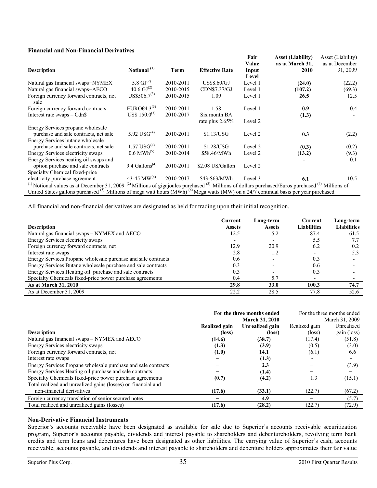#### **Financial and Non-Financial Derivatives**

|                                                  |                            |           |                       | Fair    | <b>Asset (Liability)</b>                                                                                                                | Asset (Liability) |
|--------------------------------------------------|----------------------------|-----------|-----------------------|---------|-----------------------------------------------------------------------------------------------------------------------------------------|-------------------|
|                                                  |                            |           |                       | Value   | as at March 31,                                                                                                                         | as at December    |
| <b>Description</b>                               | Notional <sup>(1)</sup>    | Term      | <b>Effective Rate</b> | Input   | 2010                                                                                                                                    | 31, 2009          |
|                                                  |                            |           |                       | Level   |                                                                                                                                         |                   |
| Natural gas financial swaps-NYMEX                | 5.8 $\rm GJ^{(2)}$         | 2010-2011 | <b>US\$8.60/GJ</b>    | Level 1 | (24.0)                                                                                                                                  | (22.2)            |
| Natural gas financial swaps-AECO                 | 40.6 $GI^{(2)}$            | 2010-2015 | CDN\$7.37/GJ          | Level 1 | (107.2)                                                                                                                                 | (69.3)            |
| Foreign currency forward contracts, net<br>sale  | $US$506.7^{(3)}$           | 2010-2015 | 1.09                  | Level 1 | 26.5                                                                                                                                    | 12.5              |
| Foreign currency forward contracts               | EURO€4.3 $^{(3)}$          | 2010-2011 | 1.58                  | Level 1 | 0.9                                                                                                                                     | 0.4               |
| Interest rate swaps $-\text{Cdn}\$$              | US\$ $150.0^{(3)}$         | 2010-2017 | Six month BA          |         | (1.3)                                                                                                                                   |                   |
|                                                  |                            |           | rate plus $2.65\%$    | Level 2 |                                                                                                                                         |                   |
| Energy Services propane wholesale                |                            |           |                       |         |                                                                                                                                         |                   |
| purchase and sale contracts, net sale            | 5.92 $USG^{(4)}$           | 2010-2011 | \$1.13/USG            | Level 2 | 0.3                                                                                                                                     | (2.2)             |
| Energy Services butane wholesale                 |                            |           |                       |         |                                                                                                                                         |                   |
| purchase and sale contracts, net sale            | $1.57$ USG <sup>(4)</sup>  | 2010-2011 | \$1.28/USG            | Level 2 | (0.3)                                                                                                                                   | (0.2)             |
| Energy Services electricity swaps                | $0.6 \text{ MWh}^{(5)}$    | 2010-2014 | \$58.46/MWh           | Level 2 | (13.2)                                                                                                                                  | (9.3)             |
| Energy Services heating oil swaps and            |                            |           |                       |         |                                                                                                                                         | 0.1               |
| option purchase and sale contracts               | 9.4 Gallons <sup>(4)</sup> | 2010-2011 | \$2.08 US/Gallon      | Level 2 |                                                                                                                                         |                   |
| Specialty Chemical fixed-price                   |                            |           |                       |         |                                                                                                                                         |                   |
| electricity purchase agreement                   | 43-45 MW $^{(6)}$          | 2010-2017 | \$43-\$63/MWh         | Level 3 | 6.1                                                                                                                                     | 10.5              |
| $^{(1)}$ Notional values as at December 31, 2009 |                            |           |                       |         | <sup>(2)</sup> Millions of gigajoules purchased <sup>(3)</sup> Millions of dollars purchased/Euros purchased <sup>(4)</sup> Millions of |                   |

United States gallons purchased <sup>(5)</sup> Millions of mega watt hours (MWh) <sup>(6)</sup> Mega watts (MW) on a 24/7 continual basis per year purchased

All financial and non-financial derivatives are designated as held for trading upon their initial recognition.

| <b>Description</b>                                            | Current<br><b>Assets</b> | Long-term<br><b>Assets</b> | Current<br><b>Liabilities</b> | Long-term<br><b>Liabilities</b> |
|---------------------------------------------------------------|--------------------------|----------------------------|-------------------------------|---------------------------------|
| Natural gas financial swaps - NYMEX and AECO                  | 12.5                     | 5.2                        | 87.4                          | 61.5                            |
| Energy Services electricity swaps                             | -                        |                            | 5.5                           |                                 |
| Foreign currency forward contracts, net                       | 12.9                     | 20.9                       | 6.2                           | 0.2                             |
| Interest rate swaps                                           | 2.8                      |                            |                               |                                 |
| Energy Services Propane wholesale purchase and sale contracts | 0.6                      |                            | 0.3                           |                                 |
| Energy Services Butane wholesale purchase and sale contracts  | 0.3                      |                            | 0.6                           |                                 |
| Energy Services Heating oil purchase and sale contracts       | 0.3                      |                            | 0.3                           |                                 |
| Specialty Chemicals fixed-price power purchase agreements     | 0.4                      | 5.7                        |                               |                                 |
| As at March 31, 2010                                          | 29.8                     | <b>33.0</b>                | 100.3                         | 74.7                            |
| As at December 31, 2009                                       | 22.2                     | 28.5                       | 77.8                          | 52.6                            |

|                                                               | For the three months ended |                       | For the three months ended |                |  |
|---------------------------------------------------------------|----------------------------|-----------------------|----------------------------|----------------|--|
|                                                               |                            | <b>March 31, 2010</b> |                            | March 31, 2009 |  |
|                                                               | Realized gain              | Unrealized gain       | Realized gain              | Unrealized     |  |
| <b>Description</b>                                            | (loss)                     | (loss)                | $(\text{loss})$            | gain (loss)    |  |
| Natural gas financial swaps - NYMEX and AECO                  | (14.6)                     | (38.7)                | (17.4)                     | (51.8)         |  |
| Energy Services electricity swaps                             | (1.3)                      | (3.9)                 | (0.5)                      | (3.0)          |  |
| Foreign currency forward contracts, net                       | (1.0)                      | 14.1                  | (6.1)                      | 6.6            |  |
| Interest rate swaps                                           |                            | (1.3)                 |                            |                |  |
| Energy Services Propane wholesale purchase and sale contracts |                            | 2.3                   |                            | (3.9)          |  |
| Energy Services Heating oil purchase and sale contracts       |                            | (1.4)                 |                            |                |  |
| Specialty Chemicals fixed-price power purchase agreements     | (0.7)                      | (4.2)                 | 1.3                        | (15.1)         |  |
| Total realized and unrealized gains (losses) on financial and |                            |                       |                            |                |  |
| non-financial derivatives                                     | (17.6)                     | (33.1)                | (22.7)                     | (67.2)         |  |
| Foreign currency translation of senior secured notes          |                            | 4.9                   |                            | (5.7)          |  |
| Total realized and unrealized gains (losses)                  | (17.6)                     | (28.2)                | (22.7)                     | (72.9)         |  |

#### **Non-Derivative Financial Instruments**

Superior's accounts receivable have been designated as available for sale due to Superior's accounts receivable securitization program, Superior's accounts payable, dividends and interest payable to shareholders and debentureholders, revolving term bank credits and term loans and debentures have been designated as other liabilities. The carrying value of Superior's cash, accounts receivable, accounts payable, and dividends and interest payable to shareholders and debenture holders approximates their fair value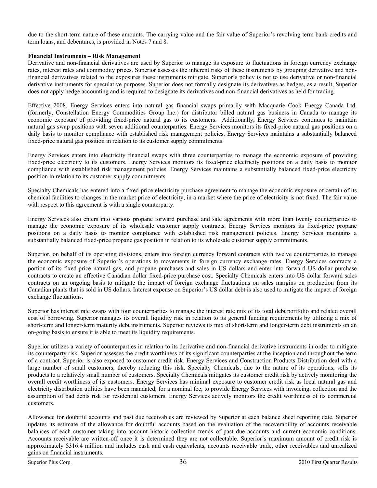due to the short-term nature of these amounts. The carrying value and the fair value of Superior's revolving term bank credits and term loans, and debentures, is provided in Notes 7 and 8.

#### **Financial Instruments – Risk Management**

Derivative and non-financial derivatives are used by Superior to manage its exposure to fluctuations in foreign currency exchange rates, interest rates and commodity prices. Superior assesses the inherent risks of these instruments by grouping derivative and nonfinancial derivatives related to the exposures these instruments mitigate. Superior's policy is not to use derivative or non-financial derivative instruments for speculative purposes. Superior does not formally designate its derivatives as hedges, as a result, Superior does not apply hedge accounting and is required to designate its derivatives and non-financial derivatives as held for trading.

Effective 2008, Energy Services enters into natural gas financial swaps primarily with Macquarie Cook Energy Canada Ltd. (formerly, Constellation Energy Commodities Group Inc.) for distributor billed natural gas business in Canada to manage its economic exposure of providing fixed-price natural gas to its customers. Additionally, Energy Services continues to maintain natural gas swap positions with seven additional counterparties. Energy Services monitors its fixed-price natural gas positions on a daily basis to monitor compliance with established risk management policies. Energy Services maintains a substantially balanced fixed-price natural gas position in relation to its customer supply commitments.

Energy Services enters into electricity financial swaps with three counterparties to manage the economic exposure of providing fixed-price electricity to its customers. Energy Services monitors its fixed-price electricity positions on a daily basis to monitor compliance with established risk management policies. Energy Services maintains a substantially balanced fixed-price electricity position in relation to its customer supply commitments.

Specialty Chemicals has entered into a fixed-price electricity purchase agreement to manage the economic exposure of certain of its chemical facilities to changes in the market price of electricity, in a market where the price of electricity is not fixed. The fair value with respect to this agreement is with a single counterparty.

Energy Services also enters into various propane forward purchase and sale agreements with more than twenty counterparties to manage the economic exposure of its wholesale customer supply contracts. Energy Services monitors its fixed-price propane positions on a daily basis to monitor compliance with established risk management policies. Energy Services maintains a substantially balanced fixed-price propane gas position in relation to its wholesale customer supply commitments.

Superior, on behalf of its operating divisions, enters into foreign currency forward contracts with twelve counterparties to manage the economic exposure of Superior's operations to movements in foreign currency exchange rates. Energy Services contracts a portion of its fixed-price natural gas, and propane purchases and sales in US dollars and enter into forward US dollar purchase contracts to create an effective Canadian dollar fixed-price purchase cost. Specialty Chemicals enters into US dollar forward sales contracts on an ongoing basis to mitigate the impact of foreign exchange fluctuations on sales margins on production from its Canadian plants that is sold in US dollars. Interest expense on Superior's US dollar debt is also used to mitigate the impact of foreign exchange fluctuations.

Superior has interest rate swaps with four counterparties to manage the interest rate mix of its total debt portfolio and related overall cost of borrowing. Superior manages its overall liquidity risk in relation to its general funding requirements by utilizing a mix of short-term and longer-term maturity debt instruments. Superior reviews its mix of short-term and longer-term debt instruments on an on-going basis to ensure it is able to meet its liquidity requirements.

Superior utilizes a variety of counterparties in relation to its derivative and non-financial derivative instruments in order to mitigate its counterparty risk. Superior assesses the credit worthiness of its significant counterparties at the inception and throughout the term of a contract. Superior is also exposed to customer credit risk. Energy Services and Construction Products Distribution deal with a large number of small customers, thereby reducing this risk. Specialty Chemicals, due to the nature of its operations, sells its products to a relatively small number of customers. Specialty Chemicals mitigates its customer credit risk by actively monitoring the overall credit worthiness of its customers. Energy Services has minimal exposure to customer credit risk as local natural gas and electricity distribution utilities have been mandated, for a nominal fee, to provide Energy Services with invoicing, collection and the assumption of bad debts risk for residential customers. Energy Services actively monitors the credit worthiness of its commercial customers.

Allowance for doubtful accounts and past due receivables are reviewed by Superior at each balance sheet reporting date. Superior updates its estimate of the allowance for doubtful accounts based on the evaluation of the recoverability of accounts receivable balances of each customer taking into account historic collection trends of past due accounts and current economic conditions. Accounts receivable are written-off once it is determined they are not collectable. Superior's maximum amount of credit risk is approximately \$316.4 million and includes cash and cash equivalents, accounts receivable trade, other receivables and unrealized gains on financial instruments.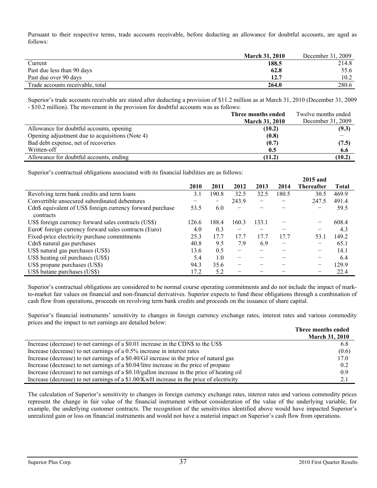Pursuant to their respective terms, trade accounts receivable, before deducting an allowance for doubtful accounts, are aged as follows:

|                                  | <b>March 31, 2010</b> | December 31, 2009 |
|----------------------------------|-----------------------|-------------------|
| Current                          | 188.5                 | 214.8             |
| Past due less than 90 days       | 62.8                  | 55.6              |
| Past due over 90 days            | 12.7                  | 10.2              |
| Trade accounts receivable, total | 264.0                 | 280.6             |

Superior's trade accounts receivable are stated after deducting a provision of \$11.2 million as at March 31, 2010 (December 31, 2009 - \$10.2 million). The movement in the provision for doubtful accounts was as follows:

|                                                 | Three months ended    | Twelve months ended |
|-------------------------------------------------|-----------------------|---------------------|
|                                                 | <b>March 31, 2010</b> | December 31, 2009   |
| Allowance for doubtful accounts, opening        | (10.2)                | (9.3)               |
| Opening adjustment due to acquisitions (Note 4) | (0.8)                 |                     |
| Bad debt expense, net of recoveries             | (0.7)                 | (7.5)               |
| Written-off                                     | 0.5                   | 6.6                 |
| Allowance for doubtful accounts, ending         | (11.2)                | (10.2)              |

Superior's contractual obligations associated with its financial liabilities are as follows:

|                                                            |       |       |                          |       |       | 2015 and                 |       |
|------------------------------------------------------------|-------|-------|--------------------------|-------|-------|--------------------------|-------|
|                                                            | 2010  | 2011  | 2012                     | 2013  | 2014  | <b>Thereafter</b>        | Total |
| Revolving term bank credits and term loans                 | 3.1   | 190.8 | 32.5                     | 32.5  | 180.5 | 30.5                     | 469.9 |
| Convertible unsecured subordinated debentures              | —     |       | 243.9                    | -     |       | 247.5                    | 491.4 |
| Cdn\$ equivalent of US\$ foreign currency forward purchase | 53.5  | 6.0   | -                        |       |       |                          | 59.5  |
| contracts                                                  |       |       |                          |       |       |                          |       |
| US\$ foreign currency forward sales contracts (US\$)       | 126.6 | 188.4 | 160.3                    | 133.1 | –     | $\overline{\phantom{0}}$ | 608.4 |
| Euro€ foreign currency forward sales contracts (Euro)      | 4.0   | 0.3   | -                        |       |       |                          | 4.3   |
| Fixed-price electricity purchase commitments               | 25.3  | 17.7  | 17.7                     | 17.7  | 17.7  | 53.1                     | 149.2 |
| Cdn\$ natural gas purchases                                | 40.8  | 9.5   | 7.9                      | 6.9   |       | $\overline{\phantom{0}}$ | 65.1  |
| US\$ natural gas purchases (US\$)                          | 13.6  | 0.5   | $\overline{\phantom{0}}$ |       |       | -                        | 14.1  |
| US\$ heating oil purchases (US\$)                          | 5.4   | 1.0   | $\overline{\phantom{0}}$ |       |       | $\overline{\phantom{0}}$ | 6.4   |
| US\$ propane purchases (US\$)                              | 94.3  | 35.6  | $\overline{\phantom{0}}$ |       |       | –                        | 129.9 |
| US\$ butane purchases (US\$)                               | 17.2  | 5.2   |                          |       |       |                          | 22.4  |

Superior's contractual obligations are considered to be normal course operating commitments and do not include the impact of markto-market fair values on financial and non-financial derivatives. Superior expects to fund these obligations through a combination of cash flow from operations, proceeds on revolving term bank credits and proceeds on the issuance of share capital.

Superior's financial instruments' sensitivity to changes in foreign currency exchange rates, interest rates and various commodity prices and the impact to net earnings are detailed below:

|                                                                                             | Three months ended    |
|---------------------------------------------------------------------------------------------|-----------------------|
|                                                                                             | <b>March 31, 2010</b> |
| Increase (decrease) to net earnings of a \$0.01 increase in the CDN\$ to the US\$           | 6.8                   |
| Increase (decrease) to net earnings of a 0.5% increase in interest rates                    | (0.6)                 |
| Increase (decrease) to net earnings of a \$0.40/GJ increase in the price of natural gas     | 17.0                  |
| Increase (decrease) to net earnings of a \$0.04/litre increase in the price of propane      | 0.2                   |
| Increase (decrease) to net earnings of a \$0.10/gallon increase in the price of heating oil | 0.9                   |
| Increase (decrease) to net earnings of a \$1.00/KwH increase in the price of electricity    | 2.1                   |

The calculation of Superior's sensitivity to changes in foreign currency exchange rates, interest rates and various commodity prices represent the change in fair value of the financial instrument without consideration of the value of the underlying variable, for example, the underlying customer contracts. The recognition of the sensitivities identified above would have impacted Superior's unrealized gain or loss on financial instruments and would not have a material impact on Superior's cash flow from operations.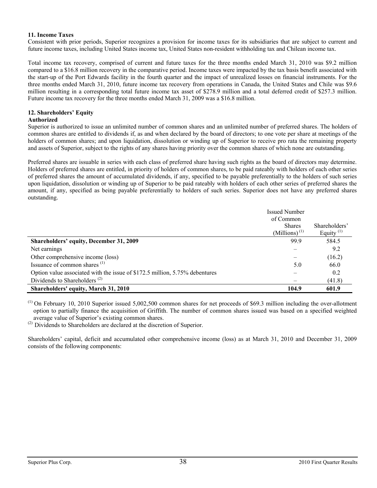#### **11. Income Taxes**

Consistent with prior periods, Superior recognizes a provision for income taxes for its subsidiaries that are subject to current and future income taxes, including United States income tax, United States non-resident withholding tax and Chilean income tax.

Total income tax recovery, comprised of current and future taxes for the three months ended March 31, 2010 was \$9.2 million compared to a \$16.8 million recovery in the comparative period. Income taxes were impacted by the tax basis benefit associated with the start-up of the Port Edwards facility in the fourth quarter and the impact of unrealized losses on financial instruments. For the three months ended March 31, 2010, future income tax recovery from operations in Canada, the United States and Chile was \$9.6 million resulting in a corresponding total future income tax asset of \$278.9 million and a total deferred credit of \$257.3 million. Future income tax recovery for the three months ended March 31, 2009 was a \$16.8 million.

#### **12. Shareholders' Equity**

#### **Authorized**

Superior is authorized to issue an unlimited number of common shares and an unlimited number of preferred shares. The holders of common shares are entitled to dividends if, as and when declared by the board of directors; to one vote per share at meetings of the holders of common shares; and upon liquidation, dissolution or winding up of Superior to receive pro rata the remaining property and assets of Superior, subject to the rights of any shares having priority over the common shares of which none are outstanding.

Preferred shares are issuable in series with each class of preferred share having such rights as the board of directors may determine. Holders of preferred shares are entitled, in priority of holders of common shares, to be paid rateably with holders of each other series of preferred shares the amount of accumulated dividends, if any, specified to be payable preferentially to the holders of such series upon liquidation, dissolution or winding up of Superior to be paid rateably with holders of each other series of preferred shares the amount, if any, specified as being payable preferentially to holders of such series. Superior does not have any preferred shares outstanding.

|                                                                             | <b>Issued Number</b><br>of Common            |                               |
|-----------------------------------------------------------------------------|----------------------------------------------|-------------------------------|
|                                                                             | <b>Shares</b><br>$(Millions)$ <sup>(1)</sup> | Shareholders'<br>Equity $(1)$ |
| <b>Shareholders' equity, December 31, 2009</b>                              | 99.9                                         | 584.5                         |
| Net earnings                                                                |                                              | 9.2                           |
| Other comprehensive income (loss)                                           |                                              | (16.2)                        |
| Issuance of common shares <sup>(1)</sup>                                    | 5.0                                          | 66.0                          |
| Option value associated with the issue of \$172.5 million, 5.75% debentures |                                              | 0.2                           |
| Dividends to Shareholders <sup>(2)</sup>                                    |                                              | (41.8)                        |
| <b>Shareholders' equity, March 31, 2010</b>                                 | 104.9                                        | 601.9                         |

(1) On February 10, 2010 Superior issued 5,002,500 common shares for net proceeds of \$69.3 million including the over-allotment option to partially finance the acquisition of Griffith. The number of common shares issued was based on a specified weighted average value of Superior's existing common shares.

<sup>(2)</sup> Dividends to Shareholders are declared at the discretion of Superior.

Shareholders' capital, deficit and accumulated other comprehensive income (loss) as at March 31, 2010 and December 31, 2009 consists of the following components: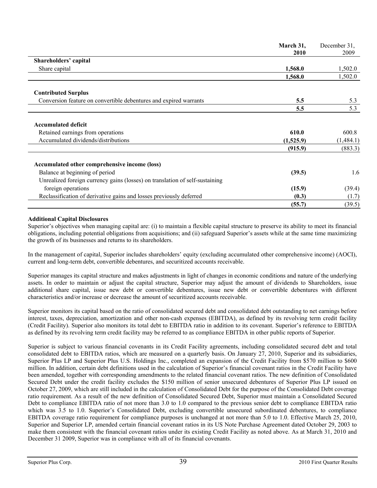|                                                                              | March 31, | December 31, |
|------------------------------------------------------------------------------|-----------|--------------|
|                                                                              | 2010      | 2009         |
| Shareholders' capital                                                        |           |              |
| Share capital                                                                | 1,568.0   | 1,502.0      |
|                                                                              | 1,568.0   | 1,502.0      |
| <b>Contributed Surplus</b>                                                   |           |              |
| Conversion feature on convertible debentures and expired warrants            | 5.5       | 5.3          |
|                                                                              | 5.5       | 5.3          |
| <b>Accumulated deficit</b>                                                   |           |              |
| Retained earnings from operations                                            | 610.0     | 600.8        |
| Accumulated dividends/distributions                                          | (1,525.9) | (1,484.1)    |
|                                                                              | (915.9)   | (883.3)      |
| Accumulated other comprehensive income (loss)                                |           |              |
| Balance at beginning of period                                               | (39.5)    | 1.6          |
| Unrealized foreign currency gains (losses) on translation of self-sustaining |           |              |
| foreign operations                                                           | (15.9)    | (39.4)       |
| Reclassification of derivative gains and losses previously deferred          | (0.3)     | (1.7)        |
|                                                                              | (55.7)    | (39.5)       |

#### **Additional Capital Disclosures**

Superior's objectives when managing capital are: (i) to maintain a flexible capital structure to preserve its ability to meet its financial obligations, including potential obligations from acquisitions; and (ii) safeguard Superior's assets while at the same time maximizing the growth of its businesses and returns to its shareholders.

In the management of capital, Superior includes shareholders' equity (excluding accumulated other comprehensive income) (AOCI), current and long-term debt, convertible debentures, and securitized accounts receivable.

Superior manages its capital structure and makes adjustments in light of changes in economic conditions and nature of the underlying assets. In order to maintain or adjust the capital structure, Superior may adjust the amount of dividends to Shareholders, issue additional share capital, issue new debt or convertible debentures, issue new debt or convertible debentures with different characteristics and/or increase or decrease the amount of securitized accounts receivable.

Superior monitors its capital based on the ratio of consolidated secured debt and consolidated debt outstanding to net earnings before interest, taxes, depreciation, amortization and other non-cash expenses (EBITDA), as defined by its revolving term credit facility (Credit Facility). Superior also monitors its total debt to EBITDA ratio in addition to its covenant. Superior's reference to EBITDA as defined by its revolving term credit facility may be referred to as compliance EBITDA in other public reports of Superior.

Superior is subject to various financial covenants in its Credit Facility agreements, including consolidated secured debt and total consolidated debt to EBITDA ratios, which are measured on a quarterly basis. On January 27, 2010, Superior and its subsidiaries, Superior Plus LP and Superior Plus U.S. Holdings Inc., completed an expansion of the Credit Facility from \$570 million to \$600 million. In addition, certain debt definitions used in the calculation of Superior's financial covenant ratios in the Credit Facility have been amended, together with corresponding amendments to the related financial covenant ratios. The new definition of Consolidated Secured Debt under the credit facility excludes the \$150 million of senior unsecured debentures of Superior Plus LP issued on October 27, 2009, which are still included in the calculation of Consolidated Debt for the purpose of the Consolidated Debt coverage ratio requirement. As a result of the new definition of Consolidated Secured Debt, Superior must maintain a Consolidated Secured Debt to compliance EBITDA ratio of not more than 3.0 to 1.0 compared to the previous senior debt to compliance EBITDA ratio which was 3.5 to 1.0. Superior's Consolidated Debt, excluding convertible unsecured subordinated debentures, to compliance EBITDA coverage ratio requirement for compliance purposes is unchanged at not more than 5.0 to 1.0. Effective March 25, 2010, Superior and Superior LP, amended certain financial covenant ratios in its US Note Purchase Agreement dated October 29, 2003 to make them consistent with the financial covenant ratios under its existing Credit Facility as noted above. As at March 31, 2010 and December 31 2009, Superior was in compliance with all of its financial covenants.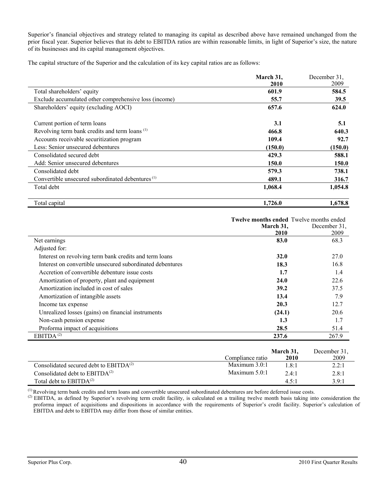Superior's financial objectives and strategy related to managing its capital as described above have remained unchanged from the prior fiscal year. Superior believes that its debt to EBITDA ratios are within reasonable limits, in light of Superior's size, the nature of its businesses and its capital management objectives.

The capital structure of the Superior and the calculation of its key capital ratios are as follows:

|                                                              | March 31,<br><b>2010</b> | December 31,<br>2009 |
|--------------------------------------------------------------|--------------------------|----------------------|
| Total shareholders' equity                                   | 601.9                    | 584.5                |
| Exclude accumulated other comprehensive loss (income)        | 55.7                     | <b>39.5</b>          |
| Shareholders' equity (excluding AOCI)                        | 657.6                    | 624.0                |
| Current portion of term loans                                | 3.1                      | 5.1                  |
| Revolving term bank credits and term loans <sup>(1)</sup>    | 466.8                    | 640.3                |
| Accounts receivable securitization program                   | 109.4                    | 92.7                 |
| Less: Senior unsecured debentures                            | (150.0)                  | (150.0)              |
| Consolidated secured debt                                    | 429.3                    | 588.1                |
| Add: Senior unsecured debentures                             | 150.0                    | 150.0                |
| Consolidated debt                                            | 579.3                    | 738.1                |
| Convertible unsecured subordinated debentures <sup>(1)</sup> | 489.1                    | 316.7                |
| Total debt                                                   | 1,068.4                  | 1,054.8              |
| Total capital                                                | 1,726.0                  | 1,678.8              |

|                                                           |                  | Twelve months ended Twelve months ended |
|-----------------------------------------------------------|------------------|-----------------------------------------|
|                                                           | March 31,        | December 31,                            |
|                                                           | <b>2010</b>      | 2009                                    |
| Net earnings                                              | 83.0             | 68.3                                    |
| Adjusted for:                                             |                  |                                         |
| Interest on revolving term bank credits and term loans    | <b>32.0</b>      | 27.0                                    |
| Interest on convertible unsecured subordinated debentures | 18.3             | 16.8                                    |
| Accretion of convertible debenture issue costs            | 1.7              | 1.4                                     |
| Amortization of property, plant and equipment             | 24.0             | 22.6                                    |
| Amortization included in cost of sales                    | 39.2             | 37.5                                    |
| Amortization of intangible assets                         | 13.4             | 7.9                                     |
| Income tax expense                                        | 20.3             | 12.7                                    |
| Unrealized losses (gains) on financial instruments        | (24.1)           | 20.6                                    |
| Non-cash pension expense                                  | 1.3              | 1.7                                     |
| Proforma impact of acquisitions                           | 28.5             | 51.4                                    |
| EBITDA $^{(2)}$                                           | 237.6            | 267.9                                   |
|                                                           |                  |                                         |
|                                                           | March 31,        | December 31,                            |
|                                                           | Compliance ratio | 2010<br>2009                            |
| Consolidated secured debt to $EBITDA(2)$                  | Maximum $3.0:1$  | 1.8:1<br>2.2:1                          |

<sup>(1)</sup> Revolving term bank credits and term loans and convertible unsecured subordinated debentures are before deferred issue costs.

<sup>(2)</sup> EBITDA, as defined by Superior's revolving term credit facility, is calculated on a trailing twelve month basis taking into consideration the proforma impact of acquisitions and dispositions in accordance with the requirements of Superior's credit facility. Superior's calculation of EBITDA and debt to EBITDA may differ from those of similar entities.

Consolidated debt to  $EBITDA<sup>(2)</sup>$  Maximum 5.0:1 2.4:1 2.8:1 Total debt to  $EBITDA<sup>(2)</sup>$  4.5:1 3.9:1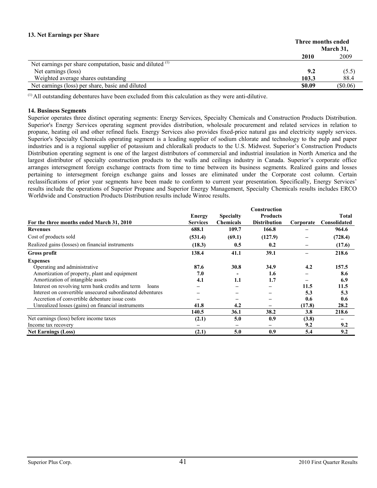#### **13. Net Earnings per Share**

|                                                                      | Three months ended<br>March 31, |         |  |
|----------------------------------------------------------------------|---------------------------------|---------|--|
|                                                                      | 2010                            | 2009    |  |
| Net earnings per share computation, basic and diluted <sup>(1)</sup> |                                 |         |  |
| Net earnings (loss)                                                  | 9.2                             | (5.5)   |  |
| Weighted average shares outstanding                                  | 103.3                           | 88.4    |  |
| Net earnings (loss) per share, basic and diluted                     | <b>SO.09</b>                    | (S0.06) |  |

 $<sup>(1)</sup>$  All outstanding debentures have been excluded from this calculation as they were anti-dilutive.</sup>

#### **14. Business Segments**

Superior operates three distinct operating segments: Energy Services, Specialty Chemicals and Construction Products Distribution. Superior's Energy Services operating segment provides distribution, wholesale procurement and related services in relation to propane, heating oil and other refined fuels. Energy Services also provides fixed-price natural gas and electricity supply services. Superior's Specialty Chemicals operating segment is a leading supplier of sodium chlorate and technology to the pulp and paper industries and is a regional supplier of potassium and chloralkali products to the U.S. Midwest. Superior's Construction Products Distribution operating segment is one of the largest distributors of commercial and industrial insulation in North America and the largest distributor of specialty construction products to the walls and ceilings industry in Canada. Superior's corporate office arranges intersegment foreign exchange contracts from time to time between its business segments. Realized gains and losses pertaining to intersegment foreign exchange gains and losses are eliminated under the Corporate cost column. Certain reclassifications of prior year segments have been made to conform to current year presentation. Specifically, Energy Services' results include the operations of Superior Propane and Superior Energy Management, Specialty Chemicals results includes ERCO Worldwide and Construction Products Distribution results include Winroc results.

|                                                           |                 |                  | Construction        |           |              |
|-----------------------------------------------------------|-----------------|------------------|---------------------|-----------|--------------|
|                                                           | <b>Energy</b>   | <b>Specialty</b> | <b>Products</b>     |           | Total        |
| For the three months ended March 31, 2010                 | <b>Services</b> | <b>Chemicals</b> | <b>Distribution</b> | Corporate | Consolidated |
| <b>Revenues</b>                                           | 688.1           | 109.7            | 166.8               |           | 964.6        |
| Cost of products sold                                     | (531.4)         | (69.1)           | (127.9)             |           | (728.4)      |
| Realized gains (losses) on financial instruments          | (18.3)          | 0.5              | 0.2                 |           | (17.6)       |
| <b>Gross profit</b>                                       | 138.4           | 41.1             | 39.1                |           | 218.6        |
| <b>Expenses</b>                                           |                 |                  |                     |           |              |
| Operating and administrative                              | 87.6            | 30.8             | 34.9                | 4.2       | 157.5        |
| Amortization of property, plant and equipment             | 7.0             |                  | 1.6                 |           | 8.6          |
| Amortization of intangible assets                         | 4.1             | 1.1              | 1.7                 |           | 6.9          |
| Interest on revolving term bank credits and term<br>loans |                 |                  |                     | 11.5      | 11.5         |
| Interest on convertible unsecured subordinated debentures |                 |                  |                     | 5.3       | 5.3          |
| Accretion of convertible debenture issue costs            |                 |                  |                     | 0.6       | 0.6          |
| Unrealized losses (gains) on financial instruments        | 41.8            | 4.2              |                     | (17.8)    | 28.2         |
|                                                           | 140.5           | 36.1             | 38.2                | 3.8       | 218.6        |
| Net earnings (loss) before income taxes                   | (2.1)           | 5.0              | 0.9                 | (3.8)     |              |
| Income tax recovery                                       |                 |                  |                     | 9.2       | 9.2          |
| <b>Net Earnings (Loss)</b>                                | (2.1)           | 5.0              | 0.9                 | 5.4       | 9.2          |